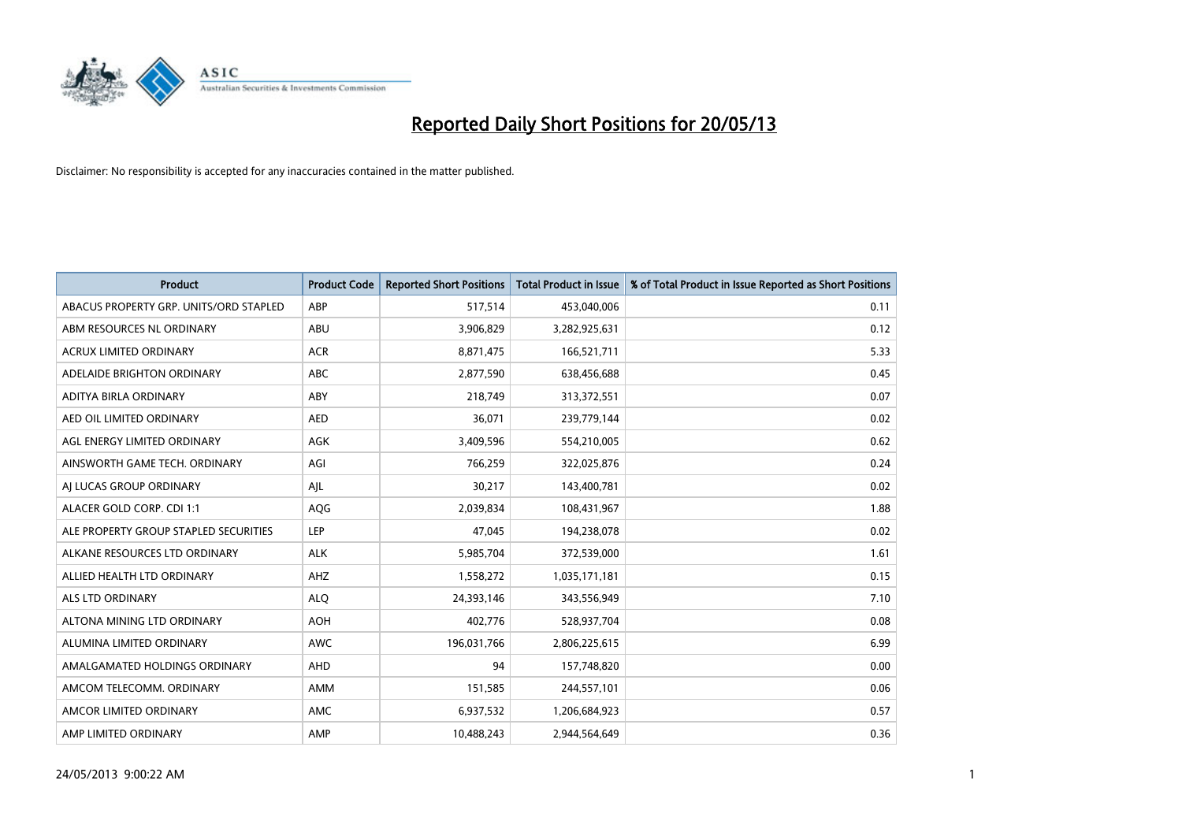

| <b>Product</b>                         | <b>Product Code</b> | <b>Reported Short Positions</b> | <b>Total Product in Issue</b> | % of Total Product in Issue Reported as Short Positions |
|----------------------------------------|---------------------|---------------------------------|-------------------------------|---------------------------------------------------------|
| ABACUS PROPERTY GRP. UNITS/ORD STAPLED | ABP                 | 517,514                         | 453,040,006                   | 0.11                                                    |
| ABM RESOURCES NL ORDINARY              | ABU                 | 3,906,829                       | 3,282,925,631                 | 0.12                                                    |
| <b>ACRUX LIMITED ORDINARY</b>          | <b>ACR</b>          | 8,871,475                       | 166,521,711                   | 5.33                                                    |
| ADELAIDE BRIGHTON ORDINARY             | ABC                 | 2,877,590                       | 638,456,688                   | 0.45                                                    |
| <b>ADITYA BIRLA ORDINARY</b>           | ABY                 | 218,749                         | 313,372,551                   | 0.07                                                    |
| AED OIL LIMITED ORDINARY               | <b>AED</b>          | 36,071                          | 239,779,144                   | 0.02                                                    |
| AGL ENERGY LIMITED ORDINARY            | <b>AGK</b>          | 3,409,596                       | 554,210,005                   | 0.62                                                    |
| AINSWORTH GAME TECH. ORDINARY          | AGI                 | 766,259                         | 322,025,876                   | 0.24                                                    |
| AI LUCAS GROUP ORDINARY                | AIL                 | 30,217                          | 143,400,781                   | 0.02                                                    |
| ALACER GOLD CORP. CDI 1:1              | AQG                 | 2,039,834                       | 108,431,967                   | 1.88                                                    |
| ALE PROPERTY GROUP STAPLED SECURITIES  | LEP                 | 47,045                          | 194,238,078                   | 0.02                                                    |
| ALKANE RESOURCES LTD ORDINARY          | <b>ALK</b>          | 5,985,704                       | 372,539,000                   | 1.61                                                    |
| ALLIED HEALTH LTD ORDINARY             | AHZ                 | 1,558,272                       | 1,035,171,181                 | 0.15                                                    |
| <b>ALS LTD ORDINARY</b>                | <b>ALO</b>          | 24,393,146                      | 343,556,949                   | 7.10                                                    |
| ALTONA MINING LTD ORDINARY             | <b>AOH</b>          | 402,776                         | 528,937,704                   | 0.08                                                    |
| ALUMINA LIMITED ORDINARY               | <b>AWC</b>          | 196,031,766                     | 2,806,225,615                 | 6.99                                                    |
| AMALGAMATED HOLDINGS ORDINARY          | AHD                 | 94                              | 157,748,820                   | 0.00                                                    |
| AMCOM TELECOMM. ORDINARY               | <b>AMM</b>          | 151,585                         | 244,557,101                   | 0.06                                                    |
| AMCOR LIMITED ORDINARY                 | <b>AMC</b>          | 6,937,532                       | 1,206,684,923                 | 0.57                                                    |
| AMP LIMITED ORDINARY                   | AMP                 | 10.488.243                      | 2.944.564.649                 | 0.36                                                    |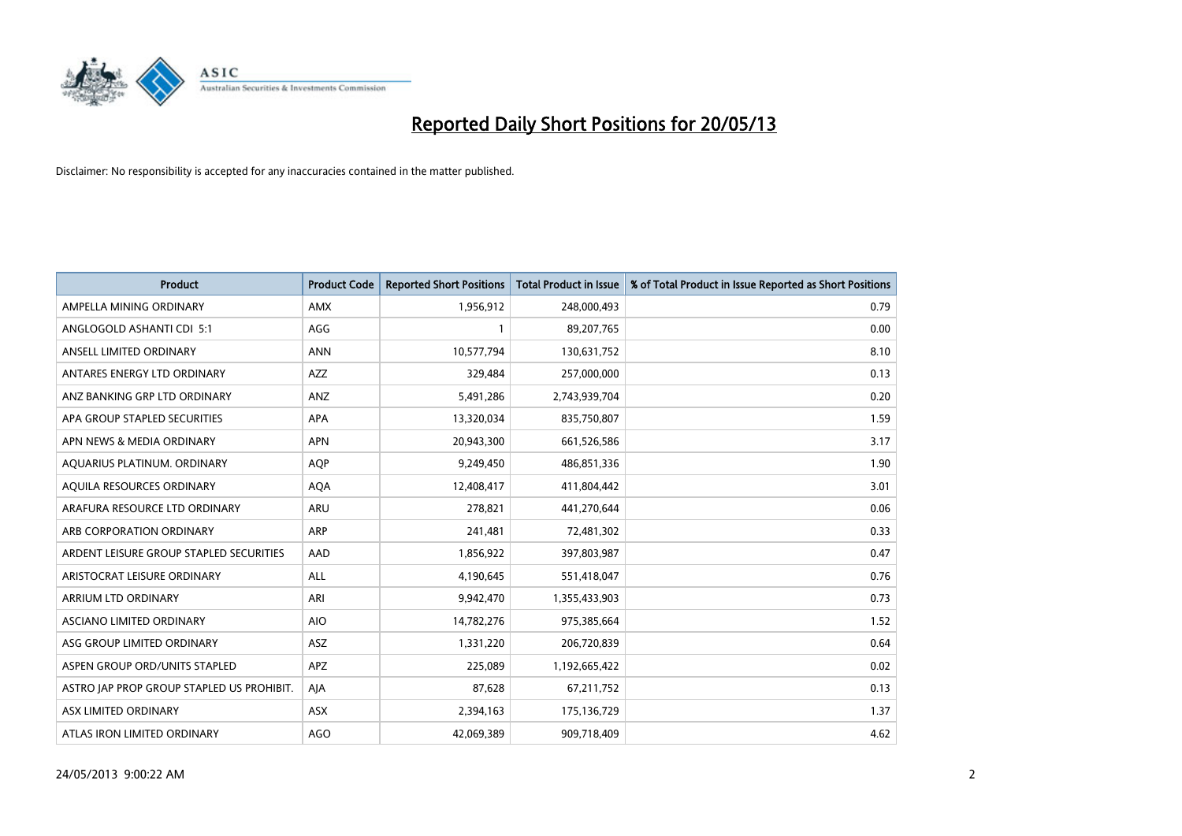

| <b>Product</b>                            | <b>Product Code</b> | <b>Reported Short Positions</b> | <b>Total Product in Issue</b> | % of Total Product in Issue Reported as Short Positions |
|-------------------------------------------|---------------------|---------------------------------|-------------------------------|---------------------------------------------------------|
| AMPELLA MINING ORDINARY                   | <b>AMX</b>          | 1,956,912                       | 248,000,493                   | 0.79                                                    |
| ANGLOGOLD ASHANTI CDI 5:1                 | AGG                 |                                 | 89,207,765                    | 0.00                                                    |
| ANSELL LIMITED ORDINARY                   | <b>ANN</b>          | 10,577,794                      | 130,631,752                   | 8.10                                                    |
| ANTARES ENERGY LTD ORDINARY               | <b>AZZ</b>          | 329,484                         | 257,000,000                   | 0.13                                                    |
| ANZ BANKING GRP LTD ORDINARY              | ANZ                 | 5,491,286                       | 2,743,939,704                 | 0.20                                                    |
| APA GROUP STAPLED SECURITIES              | <b>APA</b>          | 13,320,034                      | 835,750,807                   | 1.59                                                    |
| APN NEWS & MEDIA ORDINARY                 | <b>APN</b>          | 20,943,300                      | 661,526,586                   | 3.17                                                    |
| AQUARIUS PLATINUM. ORDINARY               | <b>AOP</b>          | 9,249,450                       | 486,851,336                   | 1.90                                                    |
| AQUILA RESOURCES ORDINARY                 | <b>AQA</b>          | 12,408,417                      | 411,804,442                   | 3.01                                                    |
| ARAFURA RESOURCE LTD ORDINARY             | <b>ARU</b>          | 278,821                         | 441,270,644                   | 0.06                                                    |
| ARB CORPORATION ORDINARY                  | <b>ARP</b>          | 241,481                         | 72,481,302                    | 0.33                                                    |
| ARDENT LEISURE GROUP STAPLED SECURITIES   | AAD                 | 1,856,922                       | 397,803,987                   | 0.47                                                    |
| ARISTOCRAT LEISURE ORDINARY               | <b>ALL</b>          | 4,190,645                       | 551,418,047                   | 0.76                                                    |
| <b>ARRIUM LTD ORDINARY</b>                | ARI                 | 9,942,470                       | 1,355,433,903                 | 0.73                                                    |
| ASCIANO LIMITED ORDINARY                  | <b>AIO</b>          | 14,782,276                      | 975,385,664                   | 1.52                                                    |
| ASG GROUP LIMITED ORDINARY                | <b>ASZ</b>          | 1,331,220                       | 206,720,839                   | 0.64                                                    |
| ASPEN GROUP ORD/UNITS STAPLED             | <b>APZ</b>          | 225,089                         | 1,192,665,422                 | 0.02                                                    |
| ASTRO JAP PROP GROUP STAPLED US PROHIBIT. | AJA                 | 87,628                          | 67,211,752                    | 0.13                                                    |
| ASX LIMITED ORDINARY                      | ASX                 | 2,394,163                       | 175,136,729                   | 1.37                                                    |
| ATLAS IRON LIMITED ORDINARY               | <b>AGO</b>          | 42,069,389                      | 909,718,409                   | 4.62                                                    |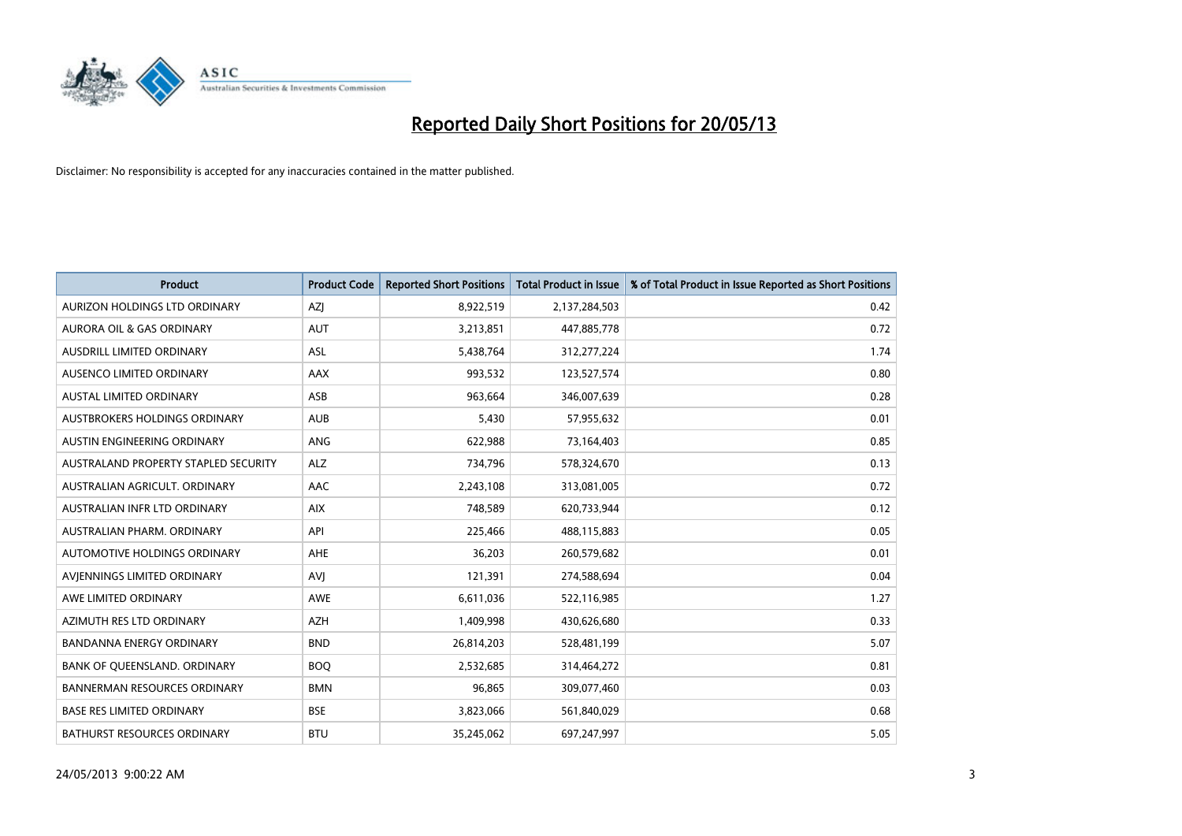

| <b>Product</b>                       | <b>Product Code</b> | <b>Reported Short Positions</b> | <b>Total Product in Issue</b> | % of Total Product in Issue Reported as Short Positions |
|--------------------------------------|---------------------|---------------------------------|-------------------------------|---------------------------------------------------------|
| AURIZON HOLDINGS LTD ORDINARY        | AZJ                 | 8,922,519                       | 2,137,284,503                 | 0.42                                                    |
| AURORA OIL & GAS ORDINARY            | <b>AUT</b>          | 3,213,851                       | 447,885,778                   | 0.72                                                    |
| <b>AUSDRILL LIMITED ORDINARY</b>     | <b>ASL</b>          | 5,438,764                       | 312,277,224                   | 1.74                                                    |
| AUSENCO LIMITED ORDINARY             | AAX                 | 993,532                         | 123,527,574                   | 0.80                                                    |
| <b>AUSTAL LIMITED ORDINARY</b>       | ASB                 | 963,664                         | 346,007,639                   | 0.28                                                    |
| AUSTBROKERS HOLDINGS ORDINARY        | <b>AUB</b>          | 5,430                           | 57,955,632                    | 0.01                                                    |
| AUSTIN ENGINEERING ORDINARY          | <b>ANG</b>          | 622,988                         | 73,164,403                    | 0.85                                                    |
| AUSTRALAND PROPERTY STAPLED SECURITY | <b>ALZ</b>          | 734,796                         | 578,324,670                   | 0.13                                                    |
| AUSTRALIAN AGRICULT, ORDINARY        | AAC                 | 2,243,108                       | 313,081,005                   | 0.72                                                    |
| AUSTRALIAN INFR LTD ORDINARY         | <b>AIX</b>          | 748,589                         | 620,733,944                   | 0.12                                                    |
| AUSTRALIAN PHARM. ORDINARY           | API                 | 225,466                         | 488,115,883                   | 0.05                                                    |
| <b>AUTOMOTIVE HOLDINGS ORDINARY</b>  | <b>AHE</b>          | 36,203                          | 260,579,682                   | 0.01                                                    |
| AVIENNINGS LIMITED ORDINARY          | AVI                 | 121,391                         | 274,588,694                   | 0.04                                                    |
| AWE LIMITED ORDINARY                 | <b>AWE</b>          | 6,611,036                       | 522,116,985                   | 1.27                                                    |
| AZIMUTH RES LTD ORDINARY             | <b>AZH</b>          | 1,409,998                       | 430,626,680                   | 0.33                                                    |
| BANDANNA ENERGY ORDINARY             | <b>BND</b>          | 26,814,203                      | 528,481,199                   | 5.07                                                    |
| BANK OF QUEENSLAND. ORDINARY         | <b>BOQ</b>          | 2,532,685                       | 314,464,272                   | 0.81                                                    |
| <b>BANNERMAN RESOURCES ORDINARY</b>  | <b>BMN</b>          | 96,865                          | 309,077,460                   | 0.03                                                    |
| <b>BASE RES LIMITED ORDINARY</b>     | <b>BSE</b>          | 3,823,066                       | 561,840,029                   | 0.68                                                    |
| <b>BATHURST RESOURCES ORDINARY</b>   | <b>BTU</b>          | 35,245,062                      | 697,247,997                   | 5.05                                                    |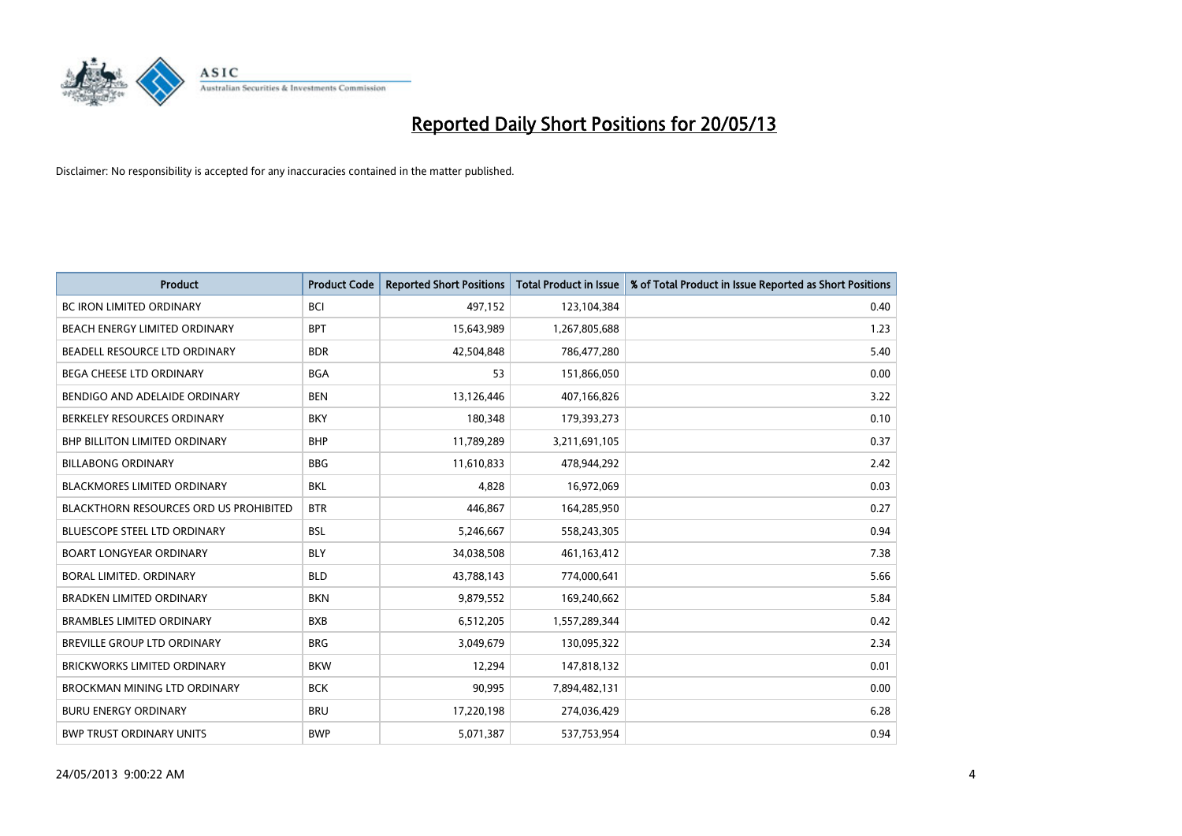

| <b>Product</b>                                | <b>Product Code</b> | <b>Reported Short Positions</b> | <b>Total Product in Issue</b> | % of Total Product in Issue Reported as Short Positions |
|-----------------------------------------------|---------------------|---------------------------------|-------------------------------|---------------------------------------------------------|
| <b>BC IRON LIMITED ORDINARY</b>               | <b>BCI</b>          | 497,152                         | 123,104,384                   | 0.40                                                    |
| BEACH ENERGY LIMITED ORDINARY                 | <b>BPT</b>          | 15,643,989                      | 1,267,805,688                 | 1.23                                                    |
| BEADELL RESOURCE LTD ORDINARY                 | <b>BDR</b>          | 42,504,848                      | 786,477,280                   | 5.40                                                    |
| BEGA CHEESE LTD ORDINARY                      | <b>BGA</b>          | 53                              | 151,866,050                   | 0.00                                                    |
| BENDIGO AND ADELAIDE ORDINARY                 | <b>BEN</b>          | 13,126,446                      | 407,166,826                   | 3.22                                                    |
| BERKELEY RESOURCES ORDINARY                   | <b>BKY</b>          | 180,348                         | 179,393,273                   | 0.10                                                    |
| <b>BHP BILLITON LIMITED ORDINARY</b>          | <b>BHP</b>          | 11,789,289                      | 3,211,691,105                 | 0.37                                                    |
| <b>BILLABONG ORDINARY</b>                     | <b>BBG</b>          | 11,610,833                      | 478,944,292                   | 2.42                                                    |
| BLACKMORES LIMITED ORDINARY                   | <b>BKL</b>          | 4,828                           | 16,972,069                    | 0.03                                                    |
| <b>BLACKTHORN RESOURCES ORD US PROHIBITED</b> | <b>BTR</b>          | 446,867                         | 164,285,950                   | 0.27                                                    |
| <b>BLUESCOPE STEEL LTD ORDINARY</b>           | <b>BSL</b>          | 5,246,667                       | 558,243,305                   | 0.94                                                    |
| <b>BOART LONGYEAR ORDINARY</b>                | <b>BLY</b>          | 34,038,508                      | 461,163,412                   | 7.38                                                    |
| <b>BORAL LIMITED, ORDINARY</b>                | <b>BLD</b>          | 43,788,143                      | 774,000,641                   | 5.66                                                    |
| <b>BRADKEN LIMITED ORDINARY</b>               | <b>BKN</b>          | 9,879,552                       | 169,240,662                   | 5.84                                                    |
| <b>BRAMBLES LIMITED ORDINARY</b>              | <b>BXB</b>          | 6,512,205                       | 1,557,289,344                 | 0.42                                                    |
| BREVILLE GROUP LTD ORDINARY                   | <b>BRG</b>          | 3,049,679                       | 130,095,322                   | 2.34                                                    |
| <b>BRICKWORKS LIMITED ORDINARY</b>            | <b>BKW</b>          | 12,294                          | 147,818,132                   | 0.01                                                    |
| BROCKMAN MINING LTD ORDINARY                  | <b>BCK</b>          | 90,995                          | 7,894,482,131                 | 0.00                                                    |
| <b>BURU ENERGY ORDINARY</b>                   | <b>BRU</b>          | 17,220,198                      | 274,036,429                   | 6.28                                                    |
| <b>BWP TRUST ORDINARY UNITS</b>               | <b>BWP</b>          | 5,071,387                       | 537,753,954                   | 0.94                                                    |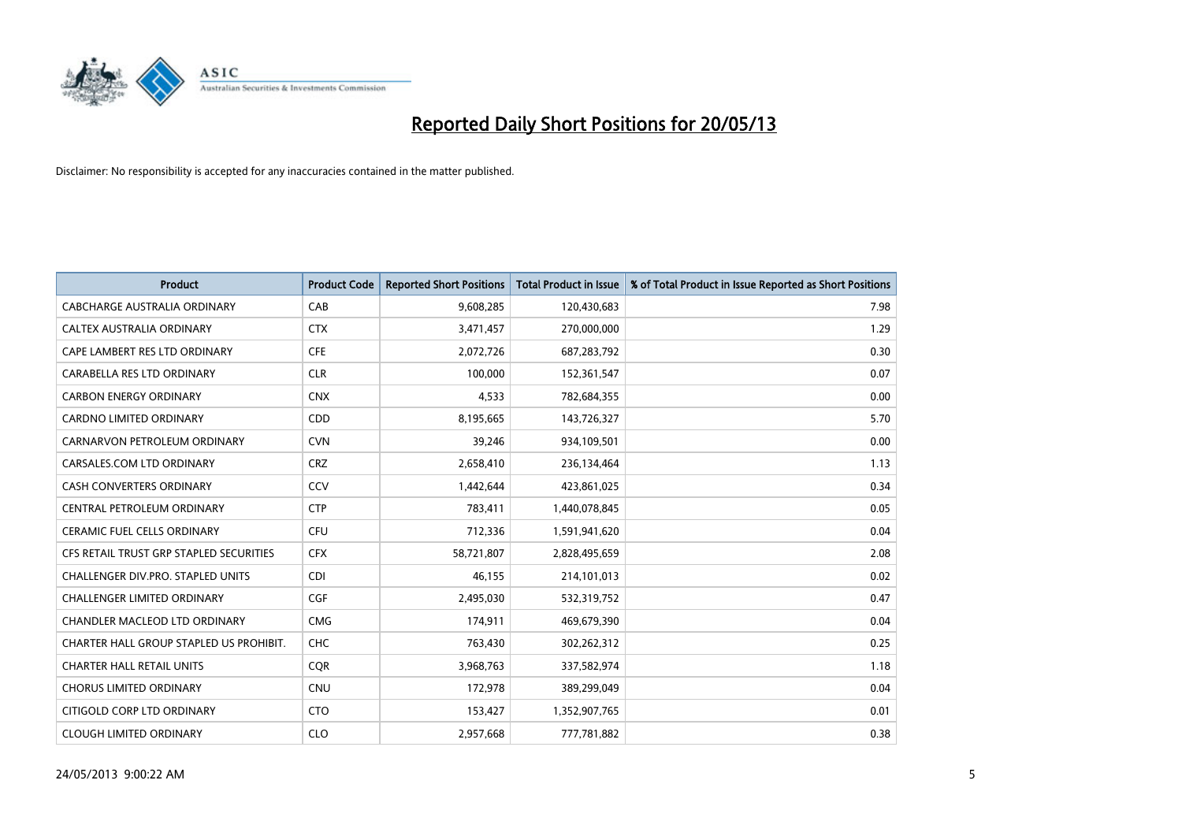

| <b>Product</b>                          | <b>Product Code</b> | <b>Reported Short Positions</b> | <b>Total Product in Issue</b> | % of Total Product in Issue Reported as Short Positions |
|-----------------------------------------|---------------------|---------------------------------|-------------------------------|---------------------------------------------------------|
| <b>CABCHARGE AUSTRALIA ORDINARY</b>     | CAB                 | 9,608,285                       | 120,430,683                   | 7.98                                                    |
| CALTEX AUSTRALIA ORDINARY               | <b>CTX</b>          | 3,471,457                       | 270,000,000                   | 1.29                                                    |
| CAPE LAMBERT RES LTD ORDINARY           | <b>CFE</b>          | 2,072,726                       | 687,283,792                   | 0.30                                                    |
| CARABELLA RES LTD ORDINARY              | <b>CLR</b>          | 100,000                         | 152,361,547                   | 0.07                                                    |
| <b>CARBON ENERGY ORDINARY</b>           | <b>CNX</b>          | 4,533                           | 782,684,355                   | 0.00                                                    |
| <b>CARDNO LIMITED ORDINARY</b>          | CDD                 | 8,195,665                       | 143,726,327                   | 5.70                                                    |
| CARNARVON PETROLEUM ORDINARY            | <b>CVN</b>          | 39,246                          | 934,109,501                   | 0.00                                                    |
| CARSALES.COM LTD ORDINARY               | <b>CRZ</b>          | 2,658,410                       | 236,134,464                   | 1.13                                                    |
| <b>CASH CONVERTERS ORDINARY</b>         | CCV                 | 1,442,644                       | 423,861,025                   | 0.34                                                    |
| CENTRAL PETROLEUM ORDINARY              | <b>CTP</b>          | 783,411                         | 1,440,078,845                 | 0.05                                                    |
| CERAMIC FUEL CELLS ORDINARY             | <b>CFU</b>          | 712,336                         | 1,591,941,620                 | 0.04                                                    |
| CFS RETAIL TRUST GRP STAPLED SECURITIES | <b>CFX</b>          | 58,721,807                      | 2,828,495,659                 | 2.08                                                    |
| CHALLENGER DIV.PRO. STAPLED UNITS       | <b>CDI</b>          | 46,155                          | 214,101,013                   | 0.02                                                    |
| <b>CHALLENGER LIMITED ORDINARY</b>      | <b>CGF</b>          | 2,495,030                       | 532,319,752                   | 0.47                                                    |
| CHANDLER MACLEOD LTD ORDINARY           | <b>CMG</b>          | 174,911                         | 469,679,390                   | 0.04                                                    |
| CHARTER HALL GROUP STAPLED US PROHIBIT. | <b>CHC</b>          | 763,430                         | 302,262,312                   | 0.25                                                    |
| <b>CHARTER HALL RETAIL UNITS</b>        | <b>COR</b>          | 3,968,763                       | 337,582,974                   | 1.18                                                    |
| <b>CHORUS LIMITED ORDINARY</b>          | <b>CNU</b>          | 172,978                         | 389,299,049                   | 0.04                                                    |
| CITIGOLD CORP LTD ORDINARY              | <b>CTO</b>          | 153,427                         | 1,352,907,765                 | 0.01                                                    |
| <b>CLOUGH LIMITED ORDINARY</b>          | <b>CLO</b>          | 2,957,668                       | 777,781,882                   | 0.38                                                    |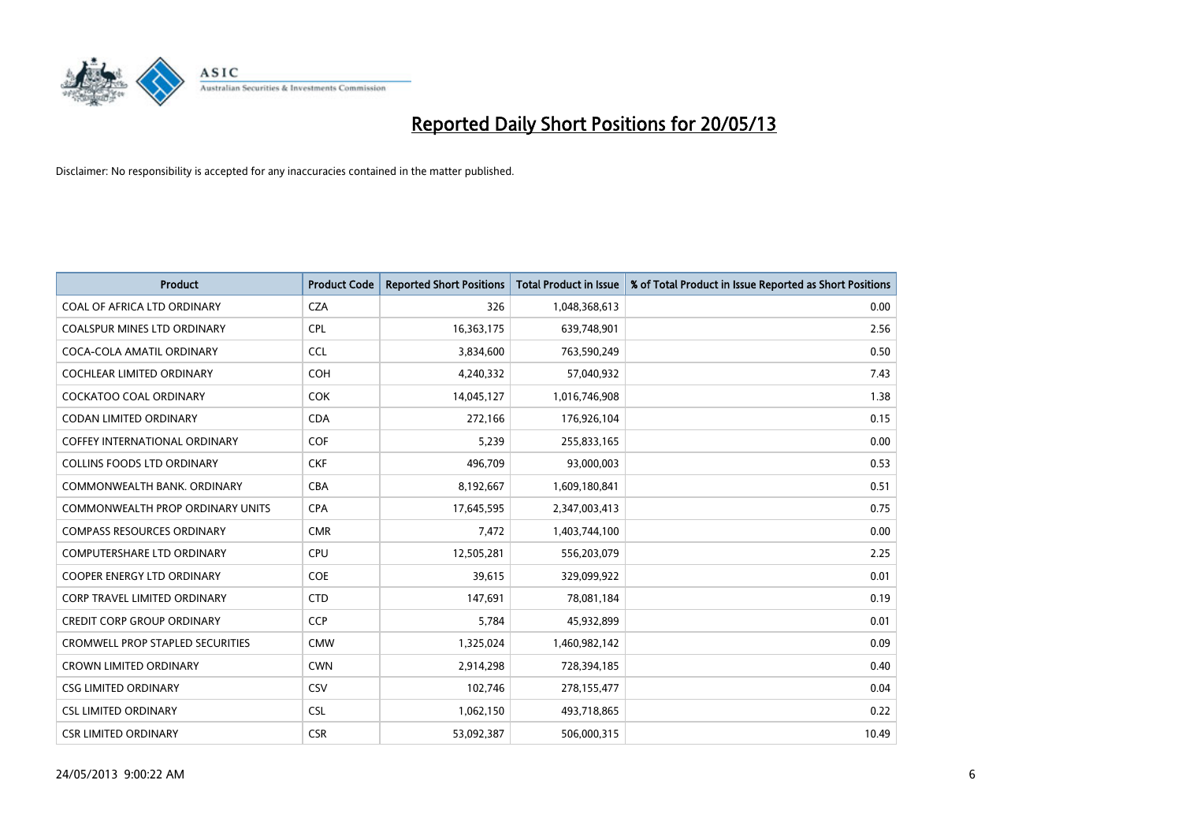

| <b>Product</b>                          | <b>Product Code</b> | <b>Reported Short Positions</b> | <b>Total Product in Issue</b> | % of Total Product in Issue Reported as Short Positions |
|-----------------------------------------|---------------------|---------------------------------|-------------------------------|---------------------------------------------------------|
| COAL OF AFRICA LTD ORDINARY             | <b>CZA</b>          | 326                             | 1,048,368,613                 | 0.00                                                    |
| COALSPUR MINES LTD ORDINARY             | <b>CPL</b>          | 16,363,175                      | 639,748,901                   | 2.56                                                    |
| COCA-COLA AMATIL ORDINARY               | <b>CCL</b>          | 3,834,600                       | 763,590,249                   | 0.50                                                    |
| COCHLEAR LIMITED ORDINARY               | <b>COH</b>          | 4,240,332                       | 57,040,932                    | 7.43                                                    |
| <b>COCKATOO COAL ORDINARY</b>           | <b>COK</b>          | 14,045,127                      | 1,016,746,908                 | 1.38                                                    |
| <b>CODAN LIMITED ORDINARY</b>           | <b>CDA</b>          | 272,166                         | 176,926,104                   | 0.15                                                    |
| <b>COFFEY INTERNATIONAL ORDINARY</b>    | <b>COF</b>          | 5.239                           | 255,833,165                   | 0.00                                                    |
| <b>COLLINS FOODS LTD ORDINARY</b>       | <b>CKF</b>          | 496,709                         | 93,000,003                    | 0.53                                                    |
| COMMONWEALTH BANK, ORDINARY             | <b>CBA</b>          | 8,192,667                       | 1,609,180,841                 | 0.51                                                    |
| COMMONWEALTH PROP ORDINARY UNITS        | <b>CPA</b>          | 17,645,595                      | 2,347,003,413                 | 0.75                                                    |
| <b>COMPASS RESOURCES ORDINARY</b>       | <b>CMR</b>          | 7,472                           | 1,403,744,100                 | 0.00                                                    |
| <b>COMPUTERSHARE LTD ORDINARY</b>       | CPU                 | 12,505,281                      | 556,203,079                   | 2.25                                                    |
| COOPER ENERGY LTD ORDINARY              | <b>COE</b>          | 39,615                          | 329,099,922                   | 0.01                                                    |
| <b>CORP TRAVEL LIMITED ORDINARY</b>     | <b>CTD</b>          | 147,691                         | 78,081,184                    | 0.19                                                    |
| <b>CREDIT CORP GROUP ORDINARY</b>       | <b>CCP</b>          | 5,784                           | 45,932,899                    | 0.01                                                    |
| <b>CROMWELL PROP STAPLED SECURITIES</b> | <b>CMW</b>          | 1,325,024                       | 1,460,982,142                 | 0.09                                                    |
| <b>CROWN LIMITED ORDINARY</b>           | <b>CWN</b>          | 2,914,298                       | 728,394,185                   | 0.40                                                    |
| <b>CSG LIMITED ORDINARY</b>             | CSV                 | 102,746                         | 278,155,477                   | 0.04                                                    |
| <b>CSL LIMITED ORDINARY</b>             | <b>CSL</b>          | 1,062,150                       | 493,718,865                   | 0.22                                                    |
| <b>CSR LIMITED ORDINARY</b>             | <b>CSR</b>          | 53,092,387                      | 506,000,315                   | 10.49                                                   |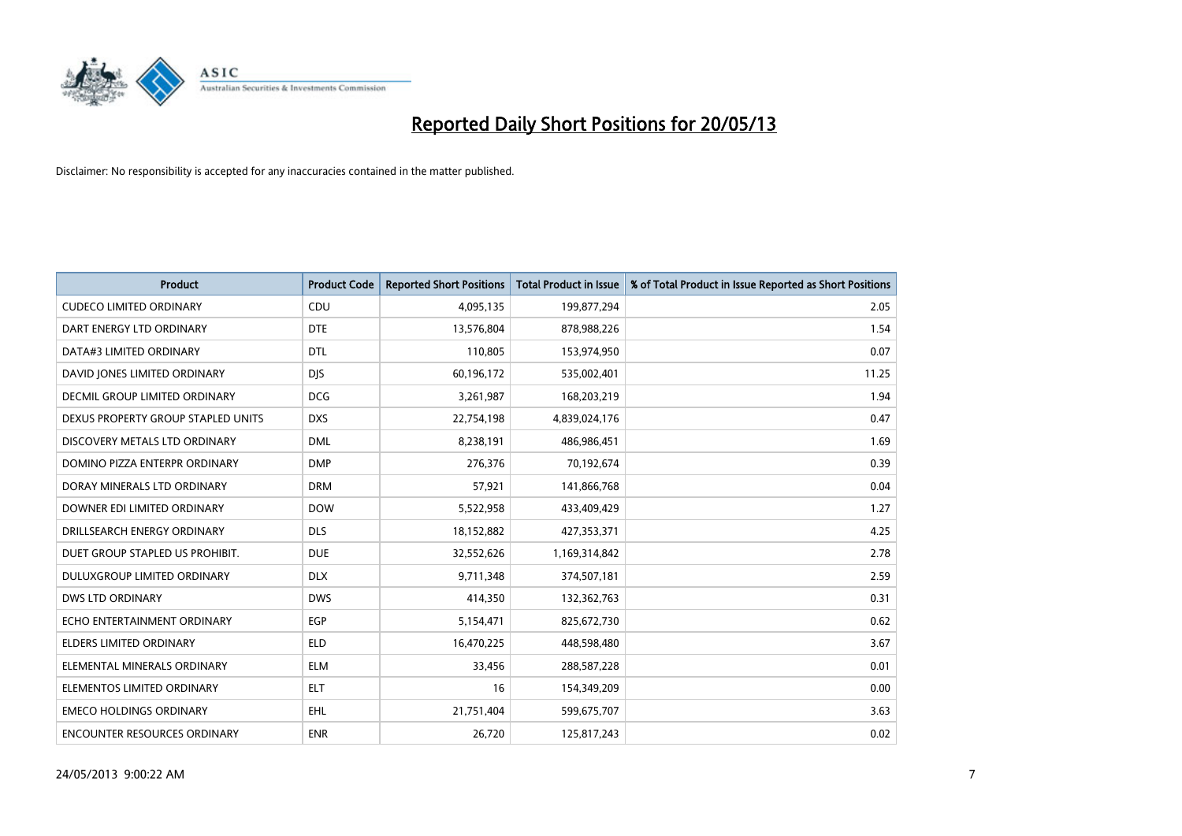

| <b>Product</b>                     | <b>Product Code</b> | <b>Reported Short Positions</b> | <b>Total Product in Issue</b> | % of Total Product in Issue Reported as Short Positions |
|------------------------------------|---------------------|---------------------------------|-------------------------------|---------------------------------------------------------|
| <b>CUDECO LIMITED ORDINARY</b>     | CDU                 | 4,095,135                       | 199,877,294                   | 2.05                                                    |
| DART ENERGY LTD ORDINARY           | <b>DTE</b>          | 13,576,804                      | 878,988,226                   | 1.54                                                    |
| DATA#3 LIMITED ORDINARY            | <b>DTL</b>          | 110,805                         | 153,974,950                   | 0.07                                                    |
| DAVID JONES LIMITED ORDINARY       | <b>DJS</b>          | 60,196,172                      | 535,002,401                   | 11.25                                                   |
| DECMIL GROUP LIMITED ORDINARY      | <b>DCG</b>          | 3,261,987                       | 168,203,219                   | 1.94                                                    |
| DEXUS PROPERTY GROUP STAPLED UNITS | <b>DXS</b>          | 22,754,198                      | 4,839,024,176                 | 0.47                                                    |
| DISCOVERY METALS LTD ORDINARY      | <b>DML</b>          | 8,238,191                       | 486,986,451                   | 1.69                                                    |
| DOMINO PIZZA ENTERPR ORDINARY      | <b>DMP</b>          | 276,376                         | 70,192,674                    | 0.39                                                    |
| DORAY MINERALS LTD ORDINARY        | <b>DRM</b>          | 57,921                          | 141,866,768                   | 0.04                                                    |
| DOWNER EDI LIMITED ORDINARY        | <b>DOW</b>          | 5,522,958                       | 433,409,429                   | 1.27                                                    |
| DRILLSEARCH ENERGY ORDINARY        | <b>DLS</b>          | 18,152,882                      | 427,353,371                   | 4.25                                                    |
| DUET GROUP STAPLED US PROHIBIT.    | <b>DUE</b>          | 32,552,626                      | 1,169,314,842                 | 2.78                                                    |
| DULUXGROUP LIMITED ORDINARY        | <b>DLX</b>          | 9,711,348                       | 374,507,181                   | 2.59                                                    |
| DWS LTD ORDINARY                   | <b>DWS</b>          | 414,350                         | 132,362,763                   | 0.31                                                    |
| ECHO ENTERTAINMENT ORDINARY        | EGP                 | 5,154,471                       | 825,672,730                   | 0.62                                                    |
| ELDERS LIMITED ORDINARY            | <b>ELD</b>          | 16,470,225                      | 448,598,480                   | 3.67                                                    |
| ELEMENTAL MINERALS ORDINARY        | <b>ELM</b>          | 33,456                          | 288,587,228                   | 0.01                                                    |
| ELEMENTOS LIMITED ORDINARY         | <b>ELT</b>          | 16                              | 154,349,209                   | 0.00                                                    |
| <b>EMECO HOLDINGS ORDINARY</b>     | <b>EHL</b>          | 21,751,404                      | 599,675,707                   | 3.63                                                    |
| ENCOUNTER RESOURCES ORDINARY       | <b>ENR</b>          | 26,720                          | 125,817,243                   | 0.02                                                    |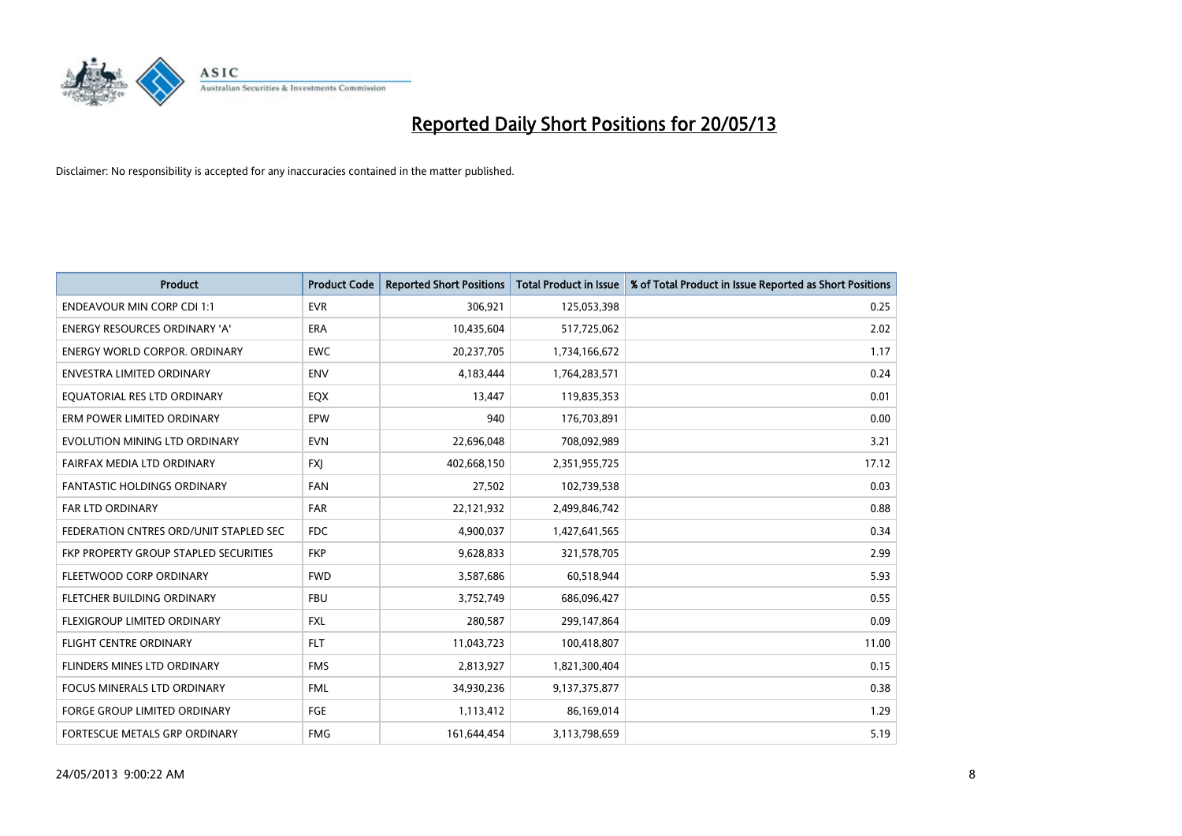

| <b>Product</b>                         | <b>Product Code</b> | <b>Reported Short Positions</b> | <b>Total Product in Issue</b> | % of Total Product in Issue Reported as Short Positions |
|----------------------------------------|---------------------|---------------------------------|-------------------------------|---------------------------------------------------------|
| <b>ENDEAVOUR MIN CORP CDI 1:1</b>      | <b>EVR</b>          | 306,921                         | 125,053,398                   | 0.25                                                    |
| ENERGY RESOURCES ORDINARY 'A'          | <b>ERA</b>          | 10,435,604                      | 517,725,062                   | 2.02                                                    |
| ENERGY WORLD CORPOR, ORDINARY          | <b>EWC</b>          | 20,237,705                      | 1,734,166,672                 | 1.17                                                    |
| ENVESTRA LIMITED ORDINARY              | <b>ENV</b>          | 4,183,444                       | 1,764,283,571                 | 0.24                                                    |
| EOUATORIAL RES LTD ORDINARY            | EQX                 | 13,447                          | 119,835,353                   | 0.01                                                    |
| ERM POWER LIMITED ORDINARY             | EPW                 | 940                             | 176,703,891                   | 0.00                                                    |
| EVOLUTION MINING LTD ORDINARY          | <b>EVN</b>          | 22,696,048                      | 708,092,989                   | 3.21                                                    |
| FAIRFAX MEDIA LTD ORDINARY             | <b>FXI</b>          | 402,668,150                     | 2,351,955,725                 | 17.12                                                   |
| FANTASTIC HOLDINGS ORDINARY            | <b>FAN</b>          | 27,502                          | 102,739,538                   | 0.03                                                    |
| <b>FAR LTD ORDINARY</b>                | FAR                 | 22,121,932                      | 2,499,846,742                 | 0.88                                                    |
| FEDERATION CNTRES ORD/UNIT STAPLED SEC | <b>FDC</b>          | 4,900,037                       | 1,427,641,565                 | 0.34                                                    |
| FKP PROPERTY GROUP STAPLED SECURITIES  | <b>FKP</b>          | 9,628,833                       | 321,578,705                   | 2.99                                                    |
| FLEETWOOD CORP ORDINARY                | <b>FWD</b>          | 3,587,686                       | 60,518,944                    | 5.93                                                    |
| FLETCHER BUILDING ORDINARY             | <b>FBU</b>          | 3,752,749                       | 686,096,427                   | 0.55                                                    |
| <b>FLEXIGROUP LIMITED ORDINARY</b>     | <b>FXL</b>          | 280,587                         | 299,147,864                   | 0.09                                                    |
| FLIGHT CENTRE ORDINARY                 | <b>FLT</b>          | 11,043,723                      | 100,418,807                   | 11.00                                                   |
| FLINDERS MINES LTD ORDINARY            | <b>FMS</b>          | 2,813,927                       | 1,821,300,404                 | 0.15                                                    |
| FOCUS MINERALS LTD ORDINARY            | <b>FML</b>          | 34,930,236                      | 9,137,375,877                 | 0.38                                                    |
| <b>FORGE GROUP LIMITED ORDINARY</b>    | FGE                 | 1,113,412                       | 86,169,014                    | 1.29                                                    |
| FORTESCUE METALS GRP ORDINARY          | <b>FMG</b>          | 161,644,454                     | 3,113,798,659                 | 5.19                                                    |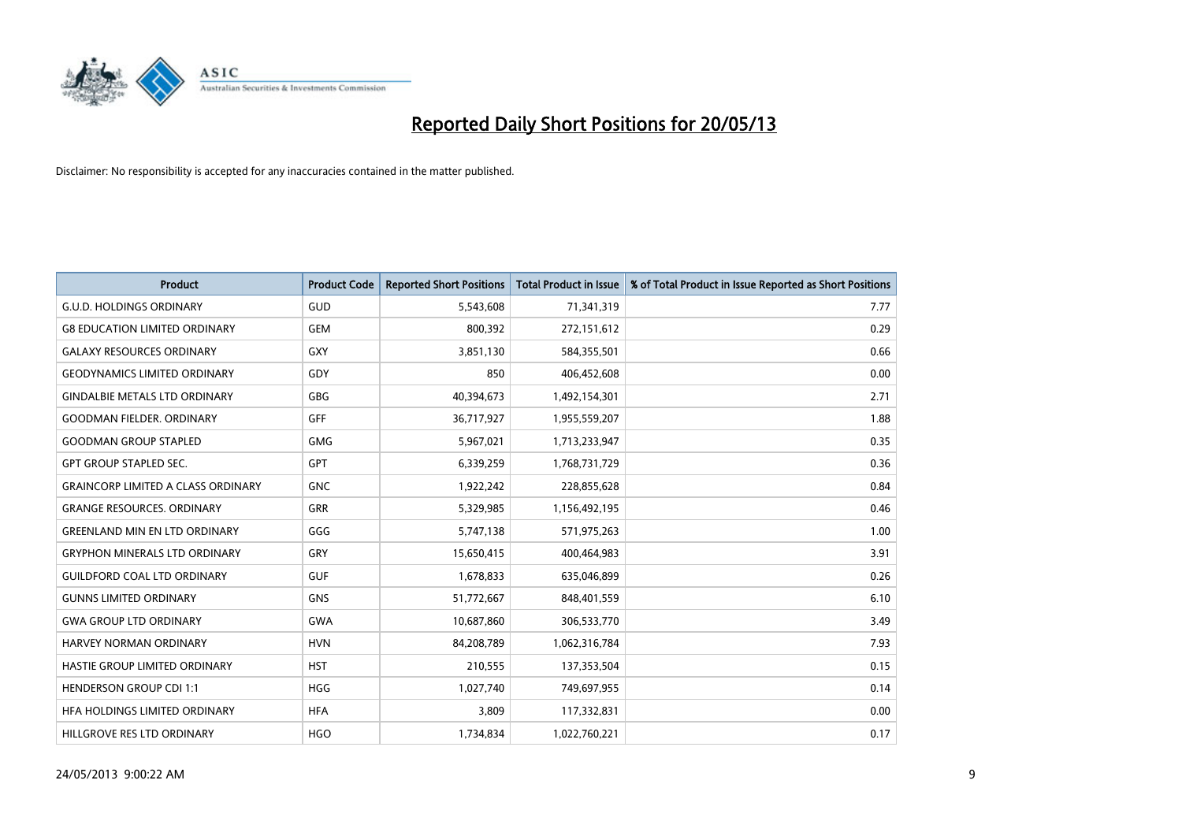

| <b>Product</b>                            | <b>Product Code</b> | <b>Reported Short Positions</b> | <b>Total Product in Issue</b> | % of Total Product in Issue Reported as Short Positions |
|-------------------------------------------|---------------------|---------------------------------|-------------------------------|---------------------------------------------------------|
| <b>G.U.D. HOLDINGS ORDINARY</b>           | GUD                 | 5,543,608                       | 71,341,319                    | 7.77                                                    |
| <b>G8 EDUCATION LIMITED ORDINARY</b>      | <b>GEM</b>          | 800.392                         | 272,151,612                   | 0.29                                                    |
| <b>GALAXY RESOURCES ORDINARY</b>          | <b>GXY</b>          | 3,851,130                       | 584,355,501                   | 0.66                                                    |
| <b>GEODYNAMICS LIMITED ORDINARY</b>       | GDY                 | 850                             | 406,452,608                   | 0.00                                                    |
| <b>GINDALBIE METALS LTD ORDINARY</b>      | <b>GBG</b>          | 40,394,673                      | 1,492,154,301                 | 2.71                                                    |
| <b>GOODMAN FIELDER, ORDINARY</b>          | <b>GFF</b>          | 36,717,927                      | 1,955,559,207                 | 1.88                                                    |
| <b>GOODMAN GROUP STAPLED</b>              | <b>GMG</b>          | 5,967,021                       | 1,713,233,947                 | 0.35                                                    |
| <b>GPT GROUP STAPLED SEC.</b>             | <b>GPT</b>          | 6,339,259                       | 1,768,731,729                 | 0.36                                                    |
| <b>GRAINCORP LIMITED A CLASS ORDINARY</b> | <b>GNC</b>          | 1,922,242                       | 228,855,628                   | 0.84                                                    |
| <b>GRANGE RESOURCES, ORDINARY</b>         | <b>GRR</b>          | 5,329,985                       | 1,156,492,195                 | 0.46                                                    |
| <b>GREENLAND MIN EN LTD ORDINARY</b>      | GGG                 | 5,747,138                       | 571,975,263                   | 1.00                                                    |
| <b>GRYPHON MINERALS LTD ORDINARY</b>      | GRY                 | 15,650,415                      | 400,464,983                   | 3.91                                                    |
| <b>GUILDFORD COAL LTD ORDINARY</b>        | <b>GUF</b>          | 1,678,833                       | 635,046,899                   | 0.26                                                    |
| <b>GUNNS LIMITED ORDINARY</b>             | <b>GNS</b>          | 51,772,667                      | 848,401,559                   | 6.10                                                    |
| <b>GWA GROUP LTD ORDINARY</b>             | <b>GWA</b>          | 10,687,860                      | 306,533,770                   | 3.49                                                    |
| <b>HARVEY NORMAN ORDINARY</b>             | <b>HVN</b>          | 84,208,789                      | 1,062,316,784                 | 7.93                                                    |
| HASTIE GROUP LIMITED ORDINARY             | <b>HST</b>          | 210,555                         | 137,353,504                   | 0.15                                                    |
| <b>HENDERSON GROUP CDI 1:1</b>            | <b>HGG</b>          | 1,027,740                       | 749,697,955                   | 0.14                                                    |
| HFA HOLDINGS LIMITED ORDINARY             | <b>HFA</b>          | 3.809                           | 117,332,831                   | 0.00                                                    |
| HILLGROVE RES LTD ORDINARY                | <b>HGO</b>          | 1,734,834                       | 1.022.760.221                 | 0.17                                                    |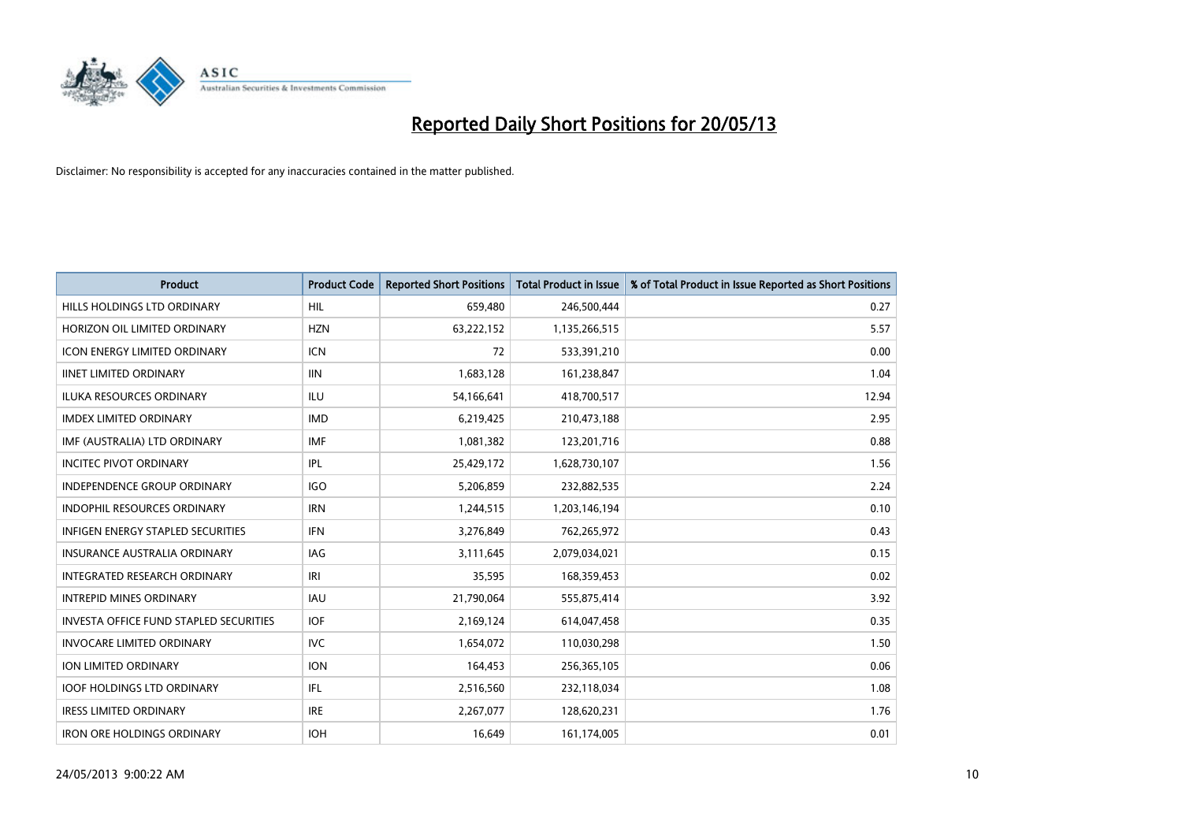

| <b>Product</b>                                | <b>Product Code</b> | <b>Reported Short Positions</b> | Total Product in Issue | % of Total Product in Issue Reported as Short Positions |
|-----------------------------------------------|---------------------|---------------------------------|------------------------|---------------------------------------------------------|
| <b>HILLS HOLDINGS LTD ORDINARY</b>            | <b>HIL</b>          | 659.480                         | 246,500,444            | 0.27                                                    |
| HORIZON OIL LIMITED ORDINARY                  | <b>HZN</b>          | 63,222,152                      | 1,135,266,515          | 5.57                                                    |
| ICON ENERGY LIMITED ORDINARY                  | <b>ICN</b>          | 72                              | 533,391,210            | 0.00                                                    |
| <b>IINET LIMITED ORDINARY</b>                 | <b>IIN</b>          | 1,683,128                       | 161,238,847            | 1.04                                                    |
| <b>ILUKA RESOURCES ORDINARY</b>               | <b>ILU</b>          | 54,166,641                      | 418,700,517            | 12.94                                                   |
| <b>IMDEX LIMITED ORDINARY</b>                 | <b>IMD</b>          | 6,219,425                       | 210,473,188            | 2.95                                                    |
| IMF (AUSTRALIA) LTD ORDINARY                  | <b>IMF</b>          | 1,081,382                       | 123,201,716            | 0.88                                                    |
| <b>INCITEC PIVOT ORDINARY</b>                 | <b>IPL</b>          | 25,429,172                      | 1,628,730,107          | 1.56                                                    |
| INDEPENDENCE GROUP ORDINARY                   | <b>IGO</b>          | 5,206,859                       | 232,882,535            | 2.24                                                    |
| <b>INDOPHIL RESOURCES ORDINARY</b>            | <b>IRN</b>          | 1,244,515                       | 1,203,146,194          | 0.10                                                    |
| INFIGEN ENERGY STAPLED SECURITIES             | <b>IFN</b>          | 3,276,849                       | 762,265,972            | 0.43                                                    |
| <b>INSURANCE AUSTRALIA ORDINARY</b>           | IAG                 | 3,111,645                       | 2,079,034,021          | 0.15                                                    |
| <b>INTEGRATED RESEARCH ORDINARY</b>           | IRI                 | 35.595                          | 168,359,453            | 0.02                                                    |
| <b>INTREPID MINES ORDINARY</b>                | <b>IAU</b>          | 21,790,064                      | 555,875,414            | 3.92                                                    |
| <b>INVESTA OFFICE FUND STAPLED SECURITIES</b> | <b>IOF</b>          | 2,169,124                       | 614,047,458            | 0.35                                                    |
| <b>INVOCARE LIMITED ORDINARY</b>              | <b>IVC</b>          | 1,654,072                       | 110,030,298            | 1.50                                                    |
| ION LIMITED ORDINARY                          | <b>ION</b>          | 164,453                         | 256,365,105            | 0.06                                                    |
| <b>IOOF HOLDINGS LTD ORDINARY</b>             | IFL.                | 2,516,560                       | 232,118,034            | 1.08                                                    |
| <b>IRESS LIMITED ORDINARY</b>                 | <b>IRE</b>          | 2,267,077                       | 128,620,231            | 1.76                                                    |
| <b>IRON ORE HOLDINGS ORDINARY</b>             | <b>IOH</b>          | 16.649                          | 161,174,005            | 0.01                                                    |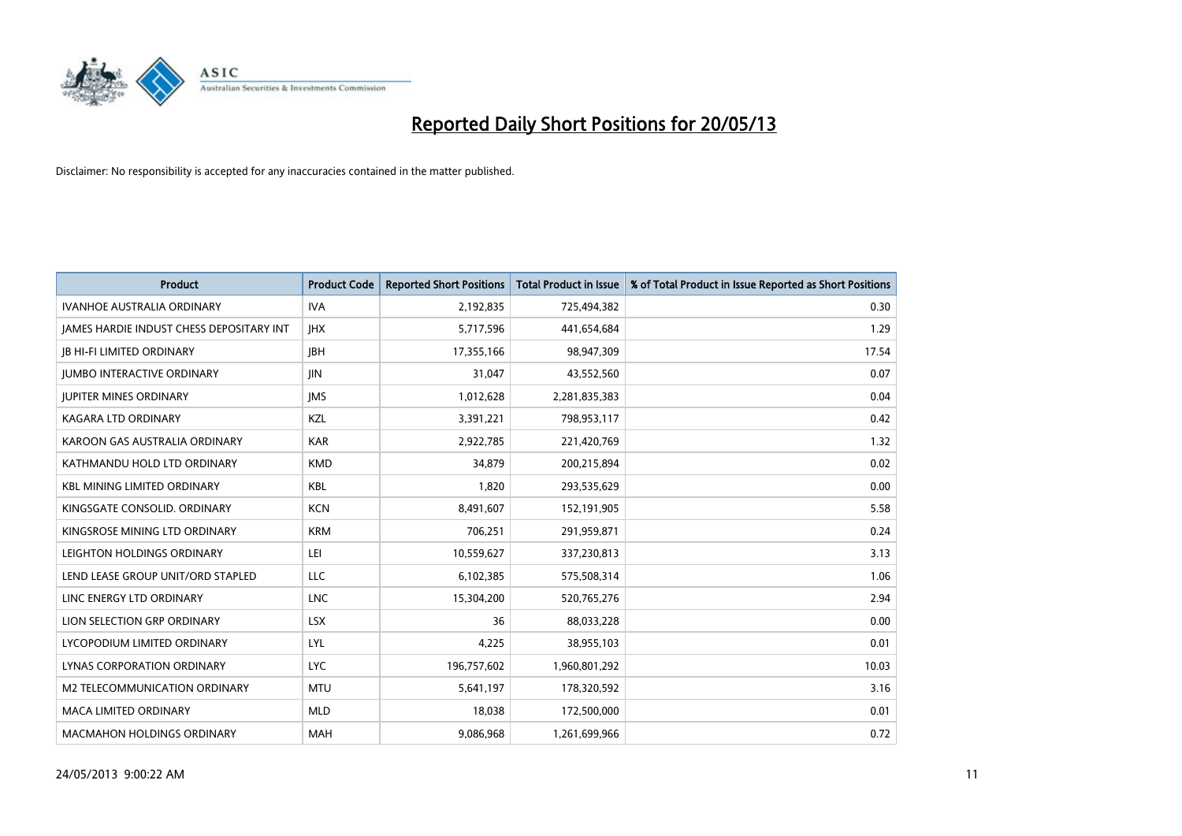

| <b>Product</b>                                  | <b>Product Code</b> | <b>Reported Short Positions</b> | <b>Total Product in Issue</b> | % of Total Product in Issue Reported as Short Positions |
|-------------------------------------------------|---------------------|---------------------------------|-------------------------------|---------------------------------------------------------|
| <b>IVANHOE AUSTRALIA ORDINARY</b>               | <b>IVA</b>          | 2,192,835                       | 725,494,382                   | 0.30                                                    |
| <b>JAMES HARDIE INDUST CHESS DEPOSITARY INT</b> | <b>IHX</b>          | 5,717,596                       | 441,654,684                   | 1.29                                                    |
| <b>JB HI-FI LIMITED ORDINARY</b>                | <b>IBH</b>          | 17,355,166                      | 98,947,309                    | 17.54                                                   |
| <b>JUMBO INTERACTIVE ORDINARY</b>               | <b>JIN</b>          | 31,047                          | 43,552,560                    | 0.07                                                    |
| <b>IUPITER MINES ORDINARY</b>                   | <b>IMS</b>          | 1,012,628                       | 2,281,835,383                 | 0.04                                                    |
| <b>KAGARA LTD ORDINARY</b>                      | <b>KZL</b>          | 3,391,221                       | 798,953,117                   | 0.42                                                    |
| KAROON GAS AUSTRALIA ORDINARY                   | <b>KAR</b>          | 2,922,785                       | 221,420,769                   | 1.32                                                    |
| KATHMANDU HOLD LTD ORDINARY                     | <b>KMD</b>          | 34,879                          | 200,215,894                   | 0.02                                                    |
| <b>KBL MINING LIMITED ORDINARY</b>              | KBL                 | 1,820                           | 293,535,629                   | 0.00                                                    |
| KINGSGATE CONSOLID. ORDINARY                    | <b>KCN</b>          | 8,491,607                       | 152,191,905                   | 5.58                                                    |
| KINGSROSE MINING LTD ORDINARY                   | <b>KRM</b>          | 706,251                         | 291,959,871                   | 0.24                                                    |
| LEIGHTON HOLDINGS ORDINARY                      | LEI                 | 10,559,627                      | 337,230,813                   | 3.13                                                    |
| LEND LEASE GROUP UNIT/ORD STAPLED               | LLC                 | 6,102,385                       | 575,508,314                   | 1.06                                                    |
| LINC ENERGY LTD ORDINARY                        | <b>LNC</b>          | 15,304,200                      | 520,765,276                   | 2.94                                                    |
| LION SELECTION GRP ORDINARY                     | <b>LSX</b>          | 36                              | 88,033,228                    | 0.00                                                    |
| LYCOPODIUM LIMITED ORDINARY                     | LYL                 | 4,225                           | 38,955,103                    | 0.01                                                    |
| LYNAS CORPORATION ORDINARY                      | <b>LYC</b>          | 196,757,602                     | 1,960,801,292                 | 10.03                                                   |
| M2 TELECOMMUNICATION ORDINARY                   | <b>MTU</b>          | 5,641,197                       | 178,320,592                   | 3.16                                                    |
| <b>MACA LIMITED ORDINARY</b>                    | <b>MLD</b>          | 18,038                          | 172,500,000                   | 0.01                                                    |
| <b>MACMAHON HOLDINGS ORDINARY</b>               | <b>MAH</b>          | 9,086,968                       | 1,261,699,966                 | 0.72                                                    |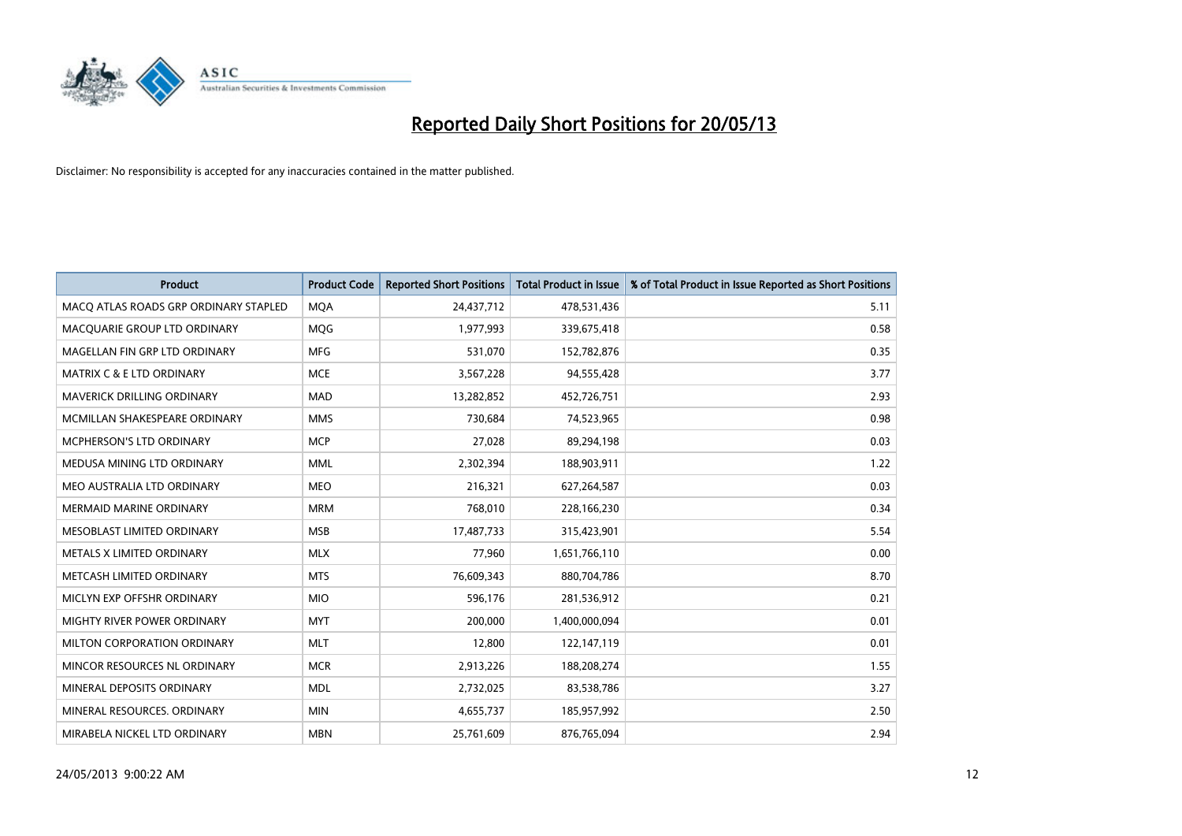

| <b>Product</b>                        | <b>Product Code</b> | <b>Reported Short Positions</b> | <b>Total Product in Issue</b> | % of Total Product in Issue Reported as Short Positions |
|---------------------------------------|---------------------|---------------------------------|-------------------------------|---------------------------------------------------------|
| MACO ATLAS ROADS GRP ORDINARY STAPLED | <b>MQA</b>          | 24,437,712                      | 478,531,436                   | 5.11                                                    |
| MACQUARIE GROUP LTD ORDINARY          | <b>MOG</b>          | 1,977,993                       | 339,675,418                   | 0.58                                                    |
| MAGELLAN FIN GRP LTD ORDINARY         | <b>MFG</b>          | 531,070                         | 152,782,876                   | 0.35                                                    |
| MATRIX C & E LTD ORDINARY             | <b>MCE</b>          | 3,567,228                       | 94,555,428                    | 3.77                                                    |
| <b>MAVERICK DRILLING ORDINARY</b>     | <b>MAD</b>          | 13,282,852                      | 452,726,751                   | 2.93                                                    |
| MCMILLAN SHAKESPEARE ORDINARY         | <b>MMS</b>          | 730,684                         | 74,523,965                    | 0.98                                                    |
| <b>MCPHERSON'S LTD ORDINARY</b>       | <b>MCP</b>          | 27,028                          | 89,294,198                    | 0.03                                                    |
| MEDUSA MINING LTD ORDINARY            | <b>MML</b>          | 2,302,394                       | 188,903,911                   | 1.22                                                    |
| MEO AUSTRALIA LTD ORDINARY            | <b>MEO</b>          | 216,321                         | 627,264,587                   | 0.03                                                    |
| <b>MERMAID MARINE ORDINARY</b>        | <b>MRM</b>          | 768,010                         | 228,166,230                   | 0.34                                                    |
| MESOBLAST LIMITED ORDINARY            | <b>MSB</b>          | 17,487,733                      | 315,423,901                   | 5.54                                                    |
| METALS X LIMITED ORDINARY             | <b>MLX</b>          | 77,960                          | 1,651,766,110                 | 0.00                                                    |
| METCASH LIMITED ORDINARY              | <b>MTS</b>          | 76,609,343                      | 880,704,786                   | 8.70                                                    |
| MICLYN EXP OFFSHR ORDINARY            | <b>MIO</b>          | 596.176                         | 281,536,912                   | 0.21                                                    |
| <b>MIGHTY RIVER POWER ORDINARY</b>    | <b>MYT</b>          | 200,000                         | 1,400,000,094                 | 0.01                                                    |
| MILTON CORPORATION ORDINARY           | <b>MLT</b>          | 12,800                          | 122,147,119                   | 0.01                                                    |
| MINCOR RESOURCES NL ORDINARY          | <b>MCR</b>          | 2,913,226                       | 188,208,274                   | 1.55                                                    |
| MINERAL DEPOSITS ORDINARY             | <b>MDL</b>          | 2,732,025                       | 83,538,786                    | 3.27                                                    |
| MINERAL RESOURCES, ORDINARY           | <b>MIN</b>          | 4,655,737                       | 185,957,992                   | 2.50                                                    |
| MIRABELA NICKEL LTD ORDINARY          | <b>MBN</b>          | 25,761,609                      | 876,765,094                   | 2.94                                                    |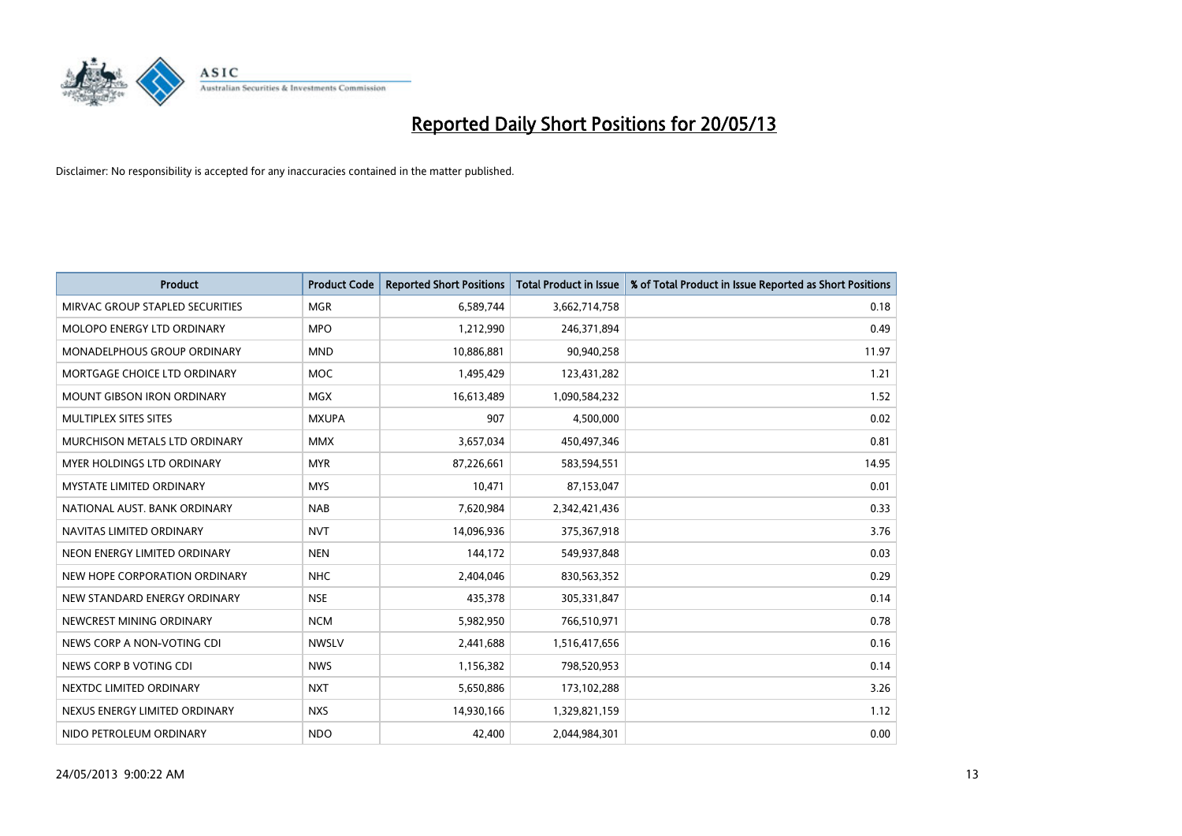

| <b>Product</b>                     | <b>Product Code</b> | <b>Reported Short Positions</b> | <b>Total Product in Issue</b> | % of Total Product in Issue Reported as Short Positions |
|------------------------------------|---------------------|---------------------------------|-------------------------------|---------------------------------------------------------|
| MIRVAC GROUP STAPLED SECURITIES    | <b>MGR</b>          | 6,589,744                       | 3,662,714,758                 | 0.18                                                    |
| MOLOPO ENERGY LTD ORDINARY         | <b>MPO</b>          | 1,212,990                       | 246,371,894                   | 0.49                                                    |
| <b>MONADELPHOUS GROUP ORDINARY</b> | <b>MND</b>          | 10,886,881                      | 90,940,258                    | 11.97                                                   |
| MORTGAGE CHOICE LTD ORDINARY       | <b>MOC</b>          | 1,495,429                       | 123,431,282                   | 1.21                                                    |
| <b>MOUNT GIBSON IRON ORDINARY</b>  | <b>MGX</b>          | 16,613,489                      | 1,090,584,232                 | 1.52                                                    |
| <b>MULTIPLEX SITES SITES</b>       | <b>MXUPA</b>        | 907                             | 4,500,000                     | 0.02                                                    |
| MURCHISON METALS LTD ORDINARY      | <b>MMX</b>          | 3,657,034                       | 450,497,346                   | 0.81                                                    |
| MYER HOLDINGS LTD ORDINARY         | <b>MYR</b>          | 87,226,661                      | 583,594,551                   | 14.95                                                   |
| MYSTATE LIMITED ORDINARY           | <b>MYS</b>          | 10,471                          | 87,153,047                    | 0.01                                                    |
| NATIONAL AUST, BANK ORDINARY       | <b>NAB</b>          | 7,620,984                       | 2,342,421,436                 | 0.33                                                    |
| NAVITAS LIMITED ORDINARY           | <b>NVT</b>          | 14,096,936                      | 375,367,918                   | 3.76                                                    |
| NEON ENERGY LIMITED ORDINARY       | <b>NEN</b>          | 144,172                         | 549,937,848                   | 0.03                                                    |
| NEW HOPE CORPORATION ORDINARY      | <b>NHC</b>          | 2,404,046                       | 830,563,352                   | 0.29                                                    |
| NEW STANDARD ENERGY ORDINARY       | <b>NSE</b>          | 435,378                         | 305,331,847                   | 0.14                                                    |
| NEWCREST MINING ORDINARY           | <b>NCM</b>          | 5,982,950                       | 766,510,971                   | 0.78                                                    |
| NEWS CORP A NON-VOTING CDI         | <b>NWSLV</b>        | 2,441,688                       | 1,516,417,656                 | 0.16                                                    |
| NEWS CORP B VOTING CDI             | <b>NWS</b>          | 1,156,382                       | 798,520,953                   | 0.14                                                    |
| NEXTDC LIMITED ORDINARY            | <b>NXT</b>          | 5,650,886                       | 173,102,288                   | 3.26                                                    |
| NEXUS ENERGY LIMITED ORDINARY      | <b>NXS</b>          | 14,930,166                      | 1,329,821,159                 | 1.12                                                    |
| NIDO PETROLEUM ORDINARY            | <b>NDO</b>          | 42,400                          | 2,044,984,301                 | 0.00                                                    |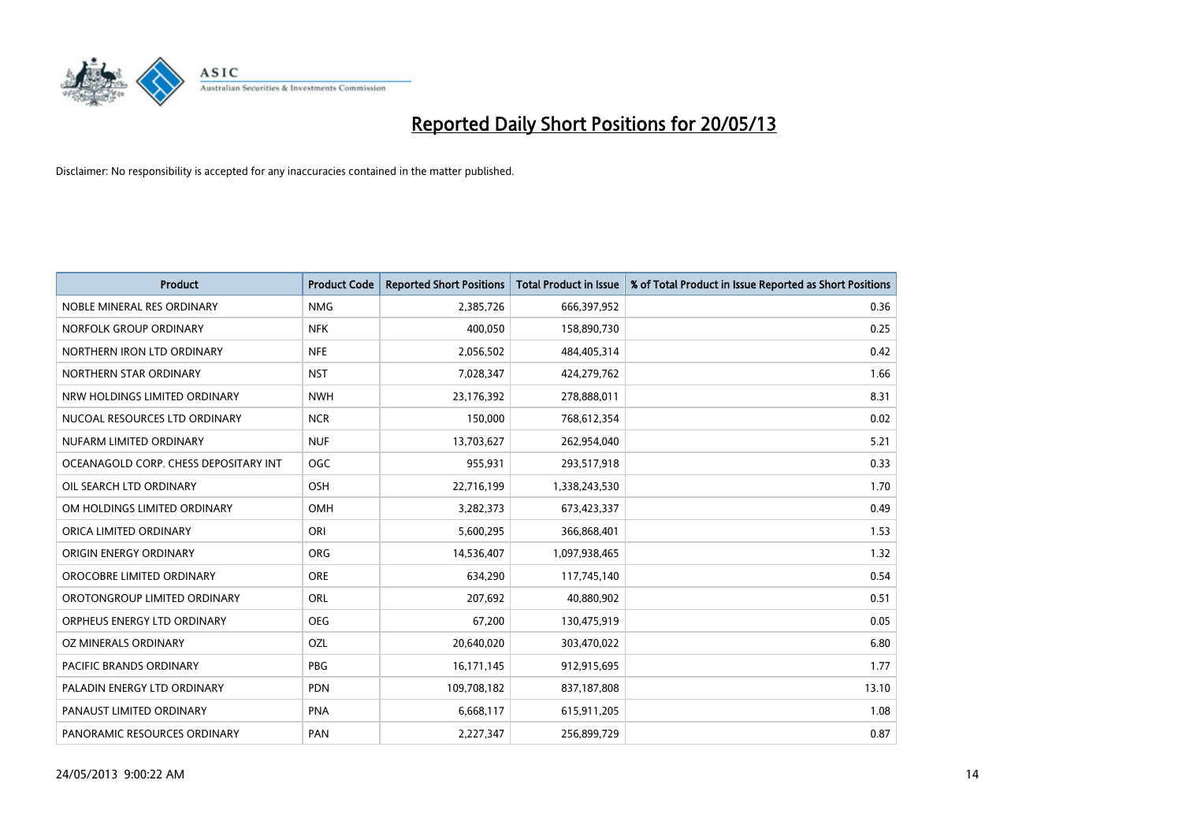

| <b>Product</b>                        | <b>Product Code</b> | <b>Reported Short Positions</b> | <b>Total Product in Issue</b> | % of Total Product in Issue Reported as Short Positions |
|---------------------------------------|---------------------|---------------------------------|-------------------------------|---------------------------------------------------------|
| NOBLE MINERAL RES ORDINARY            | <b>NMG</b>          | 2,385,726                       | 666,397,952                   | 0.36                                                    |
| NORFOLK GROUP ORDINARY                | <b>NFK</b>          | 400,050                         | 158,890,730                   | 0.25                                                    |
| NORTHERN IRON LTD ORDINARY            | <b>NFE</b>          | 2,056,502                       | 484,405,314                   | 0.42                                                    |
| NORTHERN STAR ORDINARY                | <b>NST</b>          | 7,028,347                       | 424,279,762                   | 1.66                                                    |
| NRW HOLDINGS LIMITED ORDINARY         | <b>NWH</b>          | 23,176,392                      | 278,888,011                   | 8.31                                                    |
| NUCOAL RESOURCES LTD ORDINARY         | <b>NCR</b>          | 150,000                         | 768,612,354                   | 0.02                                                    |
| NUFARM LIMITED ORDINARY               | <b>NUF</b>          | 13,703,627                      | 262,954,040                   | 5.21                                                    |
| OCEANAGOLD CORP. CHESS DEPOSITARY INT | <b>OGC</b>          | 955,931                         | 293,517,918                   | 0.33                                                    |
| OIL SEARCH LTD ORDINARY               | OSH                 | 22,716,199                      | 1,338,243,530                 | 1.70                                                    |
| OM HOLDINGS LIMITED ORDINARY          | <b>OMH</b>          | 3,282,373                       | 673,423,337                   | 0.49                                                    |
| ORICA LIMITED ORDINARY                | ORI                 | 5,600,295                       | 366,868,401                   | 1.53                                                    |
| ORIGIN ENERGY ORDINARY                | <b>ORG</b>          | 14,536,407                      | 1,097,938,465                 | 1.32                                                    |
| OROCOBRE LIMITED ORDINARY             | <b>ORE</b>          | 634,290                         | 117,745,140                   | 0.54                                                    |
| OROTONGROUP LIMITED ORDINARY          | <b>ORL</b>          | 207,692                         | 40,880,902                    | 0.51                                                    |
| ORPHEUS ENERGY LTD ORDINARY           | <b>OEG</b>          | 67,200                          | 130,475,919                   | 0.05                                                    |
| OZ MINERALS ORDINARY                  | OZL                 | 20,640,020                      | 303,470,022                   | 6.80                                                    |
| PACIFIC BRANDS ORDINARY               | <b>PBG</b>          | 16,171,145                      | 912,915,695                   | 1.77                                                    |
| PALADIN ENERGY LTD ORDINARY           | <b>PDN</b>          | 109,708,182                     | 837,187,808                   | 13.10                                                   |
| PANAUST LIMITED ORDINARY              | <b>PNA</b>          | 6,668,117                       | 615,911,205                   | 1.08                                                    |
| PANORAMIC RESOURCES ORDINARY          | PAN                 | 2,227,347                       | 256,899,729                   | 0.87                                                    |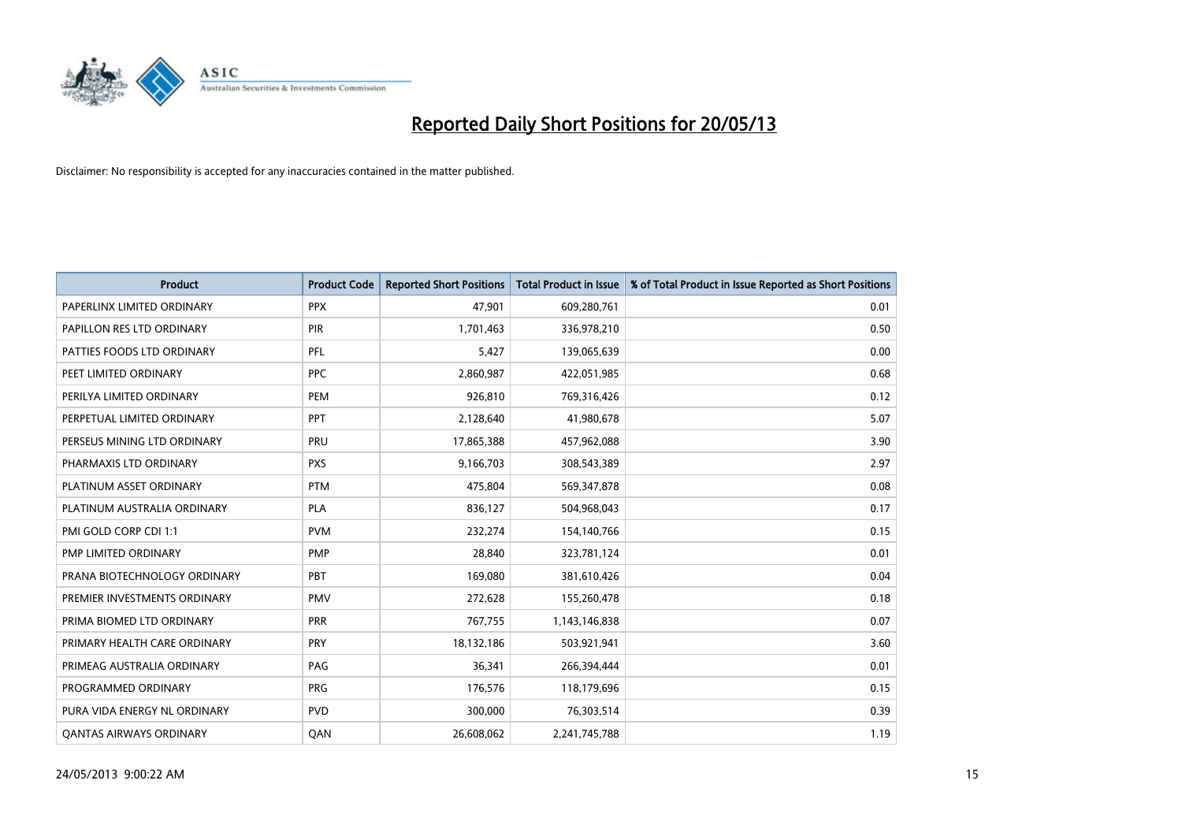

| <b>Product</b>                 | <b>Product Code</b> | <b>Reported Short Positions</b> | <b>Total Product in Issue</b> | % of Total Product in Issue Reported as Short Positions |
|--------------------------------|---------------------|---------------------------------|-------------------------------|---------------------------------------------------------|
| PAPERLINX LIMITED ORDINARY     | <b>PPX</b>          | 47,901                          | 609,280,761                   | 0.01                                                    |
| PAPILLON RES LTD ORDINARY      | PIR                 | 1,701,463                       | 336,978,210                   | 0.50                                                    |
| PATTIES FOODS LTD ORDINARY     | <b>PFL</b>          | 5,427                           | 139,065,639                   | 0.00                                                    |
| PEET LIMITED ORDINARY          | <b>PPC</b>          | 2,860,987                       | 422,051,985                   | 0.68                                                    |
| PERILYA LIMITED ORDINARY       | PEM                 | 926.810                         | 769,316,426                   | 0.12                                                    |
| PERPETUAL LIMITED ORDINARY     | PPT                 | 2,128,640                       | 41,980,678                    | 5.07                                                    |
| PERSEUS MINING LTD ORDINARY    | PRU                 | 17,865,388                      | 457,962,088                   | 3.90                                                    |
| PHARMAXIS LTD ORDINARY         | <b>PXS</b>          | 9,166,703                       | 308,543,389                   | 2.97                                                    |
| PLATINUM ASSET ORDINARY        | <b>PTM</b>          | 475,804                         | 569,347,878                   | 0.08                                                    |
| PLATINUM AUSTRALIA ORDINARY    | <b>PLA</b>          | 836,127                         | 504,968,043                   | 0.17                                                    |
| PMI GOLD CORP CDI 1:1          | <b>PVM</b>          | 232,274                         | 154,140,766                   | 0.15                                                    |
| PMP LIMITED ORDINARY           | <b>PMP</b>          | 28,840                          | 323,781,124                   | 0.01                                                    |
| PRANA BIOTECHNOLOGY ORDINARY   | PBT                 | 169,080                         | 381,610,426                   | 0.04                                                    |
| PREMIER INVESTMENTS ORDINARY   | <b>PMV</b>          | 272,628                         | 155,260,478                   | 0.18                                                    |
| PRIMA BIOMED LTD ORDINARY      | PRR                 | 767,755                         | 1,143,146,838                 | 0.07                                                    |
| PRIMARY HEALTH CARE ORDINARY   | <b>PRY</b>          | 18,132,186                      | 503,921,941                   | 3.60                                                    |
| PRIMEAG AUSTRALIA ORDINARY     | PAG                 | 36,341                          | 266,394,444                   | 0.01                                                    |
| PROGRAMMED ORDINARY            | <b>PRG</b>          | 176,576                         | 118,179,696                   | 0.15                                                    |
| PURA VIDA ENERGY NL ORDINARY   | <b>PVD</b>          | 300,000                         | 76,303,514                    | 0.39                                                    |
| <b>QANTAS AIRWAYS ORDINARY</b> | QAN                 | 26,608,062                      | 2,241,745,788                 | 1.19                                                    |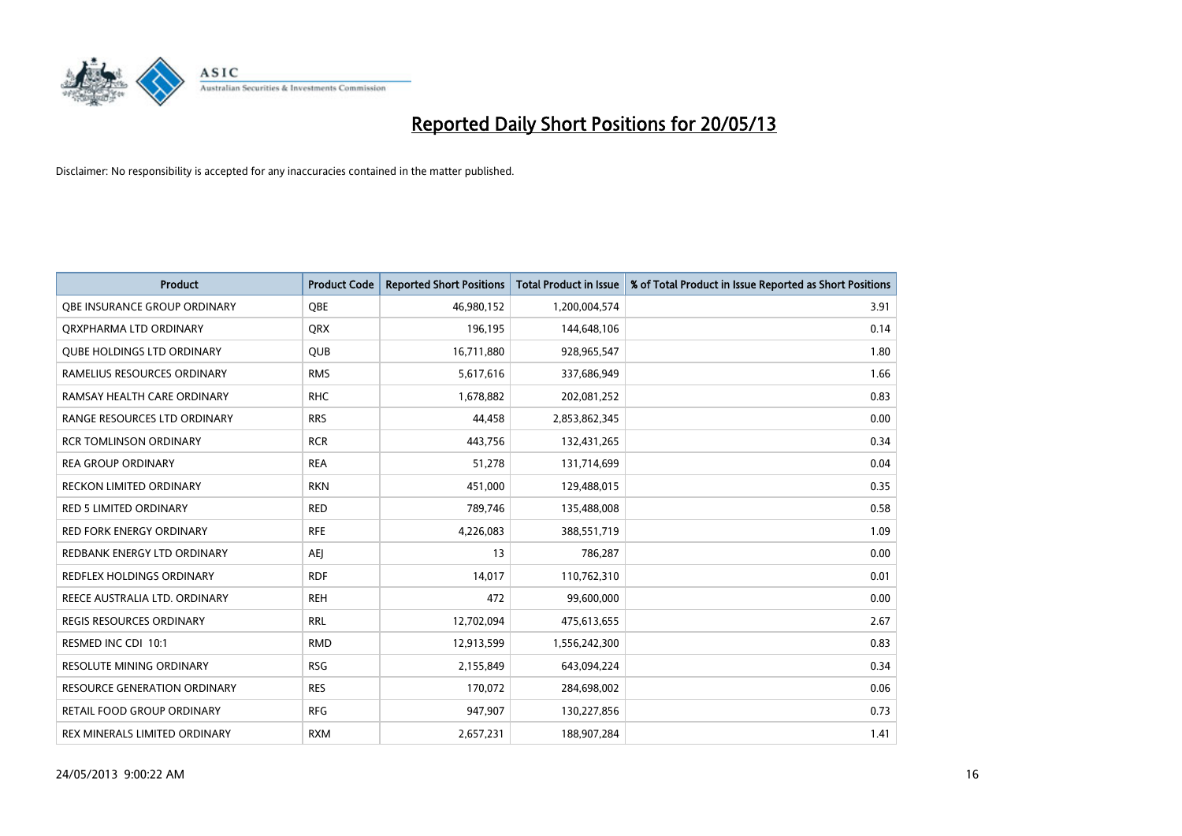

| <b>Product</b>                    | <b>Product Code</b> | <b>Reported Short Positions</b> | <b>Total Product in Issue</b> | % of Total Product in Issue Reported as Short Positions |
|-----------------------------------|---------------------|---------------------------------|-------------------------------|---------------------------------------------------------|
| OBE INSURANCE GROUP ORDINARY      | <b>OBE</b>          | 46,980,152                      | 1,200,004,574                 | 3.91                                                    |
| ORXPHARMA LTD ORDINARY            | <b>QRX</b>          | 196,195                         | 144,648,106                   | 0.14                                                    |
| <b>OUBE HOLDINGS LTD ORDINARY</b> | QUB                 | 16,711,880                      | 928,965,547                   | 1.80                                                    |
| RAMELIUS RESOURCES ORDINARY       | <b>RMS</b>          | 5,617,616                       | 337,686,949                   | 1.66                                                    |
| RAMSAY HEALTH CARE ORDINARY       | <b>RHC</b>          | 1,678,882                       | 202,081,252                   | 0.83                                                    |
| RANGE RESOURCES LTD ORDINARY      | <b>RRS</b>          | 44,458                          | 2,853,862,345                 | 0.00                                                    |
| <b>RCR TOMLINSON ORDINARY</b>     | <b>RCR</b>          | 443,756                         | 132,431,265                   | 0.34                                                    |
| <b>REA GROUP ORDINARY</b>         | <b>REA</b>          | 51,278                          | 131,714,699                   | 0.04                                                    |
| <b>RECKON LIMITED ORDINARY</b>    | <b>RKN</b>          | 451,000                         | 129,488,015                   | 0.35                                                    |
| <b>RED 5 LIMITED ORDINARY</b>     | <b>RED</b>          | 789,746                         | 135,488,008                   | 0.58                                                    |
| RED FORK ENERGY ORDINARY          | <b>RFE</b>          | 4,226,083                       | 388,551,719                   | 1.09                                                    |
| REDBANK ENERGY LTD ORDINARY       | AEJ                 | 13                              | 786,287                       | 0.00                                                    |
| REDFLEX HOLDINGS ORDINARY         | <b>RDF</b>          | 14,017                          | 110,762,310                   | 0.01                                                    |
| REECE AUSTRALIA LTD. ORDINARY     | <b>REH</b>          | 472                             | 99,600,000                    | 0.00                                                    |
| <b>REGIS RESOURCES ORDINARY</b>   | <b>RRL</b>          | 12,702,094                      | 475,613,655                   | 2.67                                                    |
| RESMED INC CDI 10:1               | <b>RMD</b>          | 12,913,599                      | 1,556,242,300                 | 0.83                                                    |
| RESOLUTE MINING ORDINARY          | <b>RSG</b>          | 2,155,849                       | 643,094,224                   | 0.34                                                    |
| RESOURCE GENERATION ORDINARY      | <b>RES</b>          | 170,072                         | 284,698,002                   | 0.06                                                    |
| RETAIL FOOD GROUP ORDINARY        | <b>RFG</b>          | 947,907                         | 130,227,856                   | 0.73                                                    |
| REX MINERALS LIMITED ORDINARY     | <b>RXM</b>          | 2,657,231                       | 188,907,284                   | 1.41                                                    |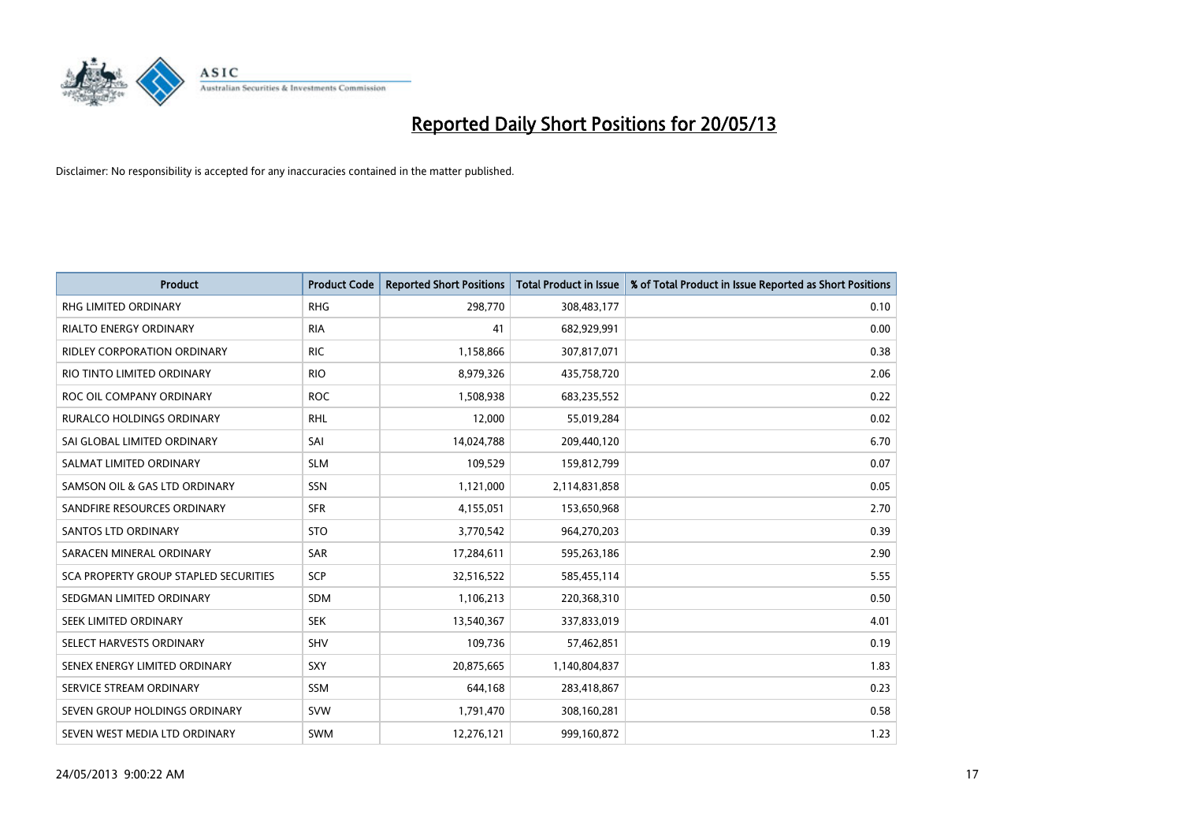

| <b>Product</b>                        | <b>Product Code</b> | <b>Reported Short Positions</b> | <b>Total Product in Issue</b> | % of Total Product in Issue Reported as Short Positions |
|---------------------------------------|---------------------|---------------------------------|-------------------------------|---------------------------------------------------------|
| <b>RHG LIMITED ORDINARY</b>           | <b>RHG</b>          | 298,770                         | 308,483,177                   | 0.10                                                    |
| RIALTO ENERGY ORDINARY                | <b>RIA</b>          | 41                              | 682,929,991                   | 0.00                                                    |
| RIDLEY CORPORATION ORDINARY           | <b>RIC</b>          | 1,158,866                       | 307,817,071                   | 0.38                                                    |
| RIO TINTO LIMITED ORDINARY            | <b>RIO</b>          | 8,979,326                       | 435,758,720                   | 2.06                                                    |
| ROC OIL COMPANY ORDINARY              | <b>ROC</b>          | 1,508,938                       | 683,235,552                   | 0.22                                                    |
| <b>RURALCO HOLDINGS ORDINARY</b>      | <b>RHL</b>          | 12,000                          | 55,019,284                    | 0.02                                                    |
| SAI GLOBAL LIMITED ORDINARY           | SAI                 | 14,024,788                      | 209,440,120                   | 6.70                                                    |
| SALMAT LIMITED ORDINARY               | <b>SLM</b>          | 109,529                         | 159,812,799                   | 0.07                                                    |
| SAMSON OIL & GAS LTD ORDINARY         | SSN                 | 1,121,000                       | 2,114,831,858                 | 0.05                                                    |
| SANDFIRE RESOURCES ORDINARY           | <b>SFR</b>          | 4,155,051                       | 153,650,968                   | 2.70                                                    |
| <b>SANTOS LTD ORDINARY</b>            | <b>STO</b>          | 3,770,542                       | 964,270,203                   | 0.39                                                    |
| SARACEN MINERAL ORDINARY              | SAR                 | 17,284,611                      | 595,263,186                   | 2.90                                                    |
| SCA PROPERTY GROUP STAPLED SECURITIES | SCP                 | 32,516,522                      | 585,455,114                   | 5.55                                                    |
| SEDGMAN LIMITED ORDINARY              | SDM                 | 1,106,213                       | 220,368,310                   | 0.50                                                    |
| SEEK LIMITED ORDINARY                 | <b>SEK</b>          | 13,540,367                      | 337,833,019                   | 4.01                                                    |
| SELECT HARVESTS ORDINARY              | <b>SHV</b>          | 109,736                         | 57,462,851                    | 0.19                                                    |
| SENEX ENERGY LIMITED ORDINARY         | <b>SXY</b>          | 20,875,665                      | 1,140,804,837                 | 1.83                                                    |
| SERVICE STREAM ORDINARY               | <b>SSM</b>          | 644,168                         | 283,418,867                   | 0.23                                                    |
| SEVEN GROUP HOLDINGS ORDINARY         | <b>SVW</b>          | 1,791,470                       | 308,160,281                   | 0.58                                                    |
| SEVEN WEST MEDIA LTD ORDINARY         | <b>SWM</b>          | 12,276,121                      | 999,160,872                   | 1.23                                                    |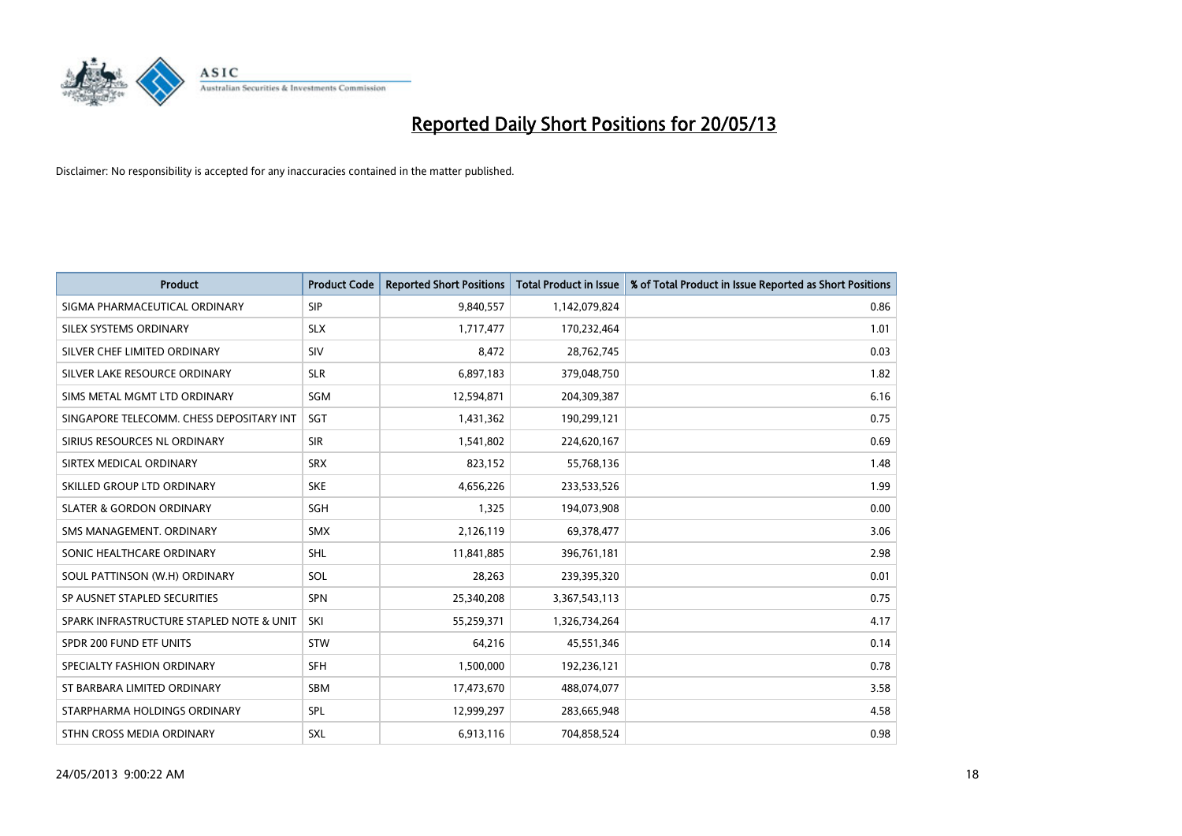

| <b>Product</b>                           | <b>Product Code</b> | <b>Reported Short Positions</b> | <b>Total Product in Issue</b> | % of Total Product in Issue Reported as Short Positions |
|------------------------------------------|---------------------|---------------------------------|-------------------------------|---------------------------------------------------------|
| SIGMA PHARMACEUTICAL ORDINARY            | <b>SIP</b>          | 9,840,557                       | 1,142,079,824                 | 0.86                                                    |
| SILEX SYSTEMS ORDINARY                   | <b>SLX</b>          | 1,717,477                       | 170,232,464                   | 1.01                                                    |
| SILVER CHEF LIMITED ORDINARY             | SIV                 | 8,472                           | 28,762,745                    | 0.03                                                    |
| SILVER LAKE RESOURCE ORDINARY            | <b>SLR</b>          | 6,897,183                       | 379,048,750                   | 1.82                                                    |
| SIMS METAL MGMT LTD ORDINARY             | SGM                 | 12,594,871                      | 204,309,387                   | 6.16                                                    |
| SINGAPORE TELECOMM. CHESS DEPOSITARY INT | SGT                 | 1,431,362                       | 190,299,121                   | 0.75                                                    |
| SIRIUS RESOURCES NL ORDINARY             | <b>SIR</b>          | 1,541,802                       | 224,620,167                   | 0.69                                                    |
| SIRTEX MEDICAL ORDINARY                  | <b>SRX</b>          | 823,152                         | 55,768,136                    | 1.48                                                    |
| SKILLED GROUP LTD ORDINARY               | <b>SKE</b>          | 4,656,226                       | 233,533,526                   | 1.99                                                    |
| <b>SLATER &amp; GORDON ORDINARY</b>      | <b>SGH</b>          | 1,325                           | 194,073,908                   | 0.00                                                    |
| SMS MANAGEMENT, ORDINARY                 | <b>SMX</b>          | 2,126,119                       | 69,378,477                    | 3.06                                                    |
| SONIC HEALTHCARE ORDINARY                | <b>SHL</b>          | 11,841,885                      | 396,761,181                   | 2.98                                                    |
| SOUL PATTINSON (W.H) ORDINARY            | SOL                 | 28.263                          | 239,395,320                   | 0.01                                                    |
| SP AUSNET STAPLED SECURITIES             | <b>SPN</b>          | 25,340,208                      | 3,367,543,113                 | 0.75                                                    |
| SPARK INFRASTRUCTURE STAPLED NOTE & UNIT | SKI                 | 55,259,371                      | 1,326,734,264                 | 4.17                                                    |
| SPDR 200 FUND ETF UNITS                  | <b>STW</b>          | 64,216                          | 45,551,346                    | 0.14                                                    |
| SPECIALTY FASHION ORDINARY               | <b>SFH</b>          | 1,500,000                       | 192,236,121                   | 0.78                                                    |
| ST BARBARA LIMITED ORDINARY              | <b>SBM</b>          | 17,473,670                      | 488,074,077                   | 3.58                                                    |
| STARPHARMA HOLDINGS ORDINARY             | SPL                 | 12,999,297                      | 283,665,948                   | 4.58                                                    |
| STHN CROSS MEDIA ORDINARY                | <b>SXL</b>          | 6,913,116                       | 704.858.524                   | 0.98                                                    |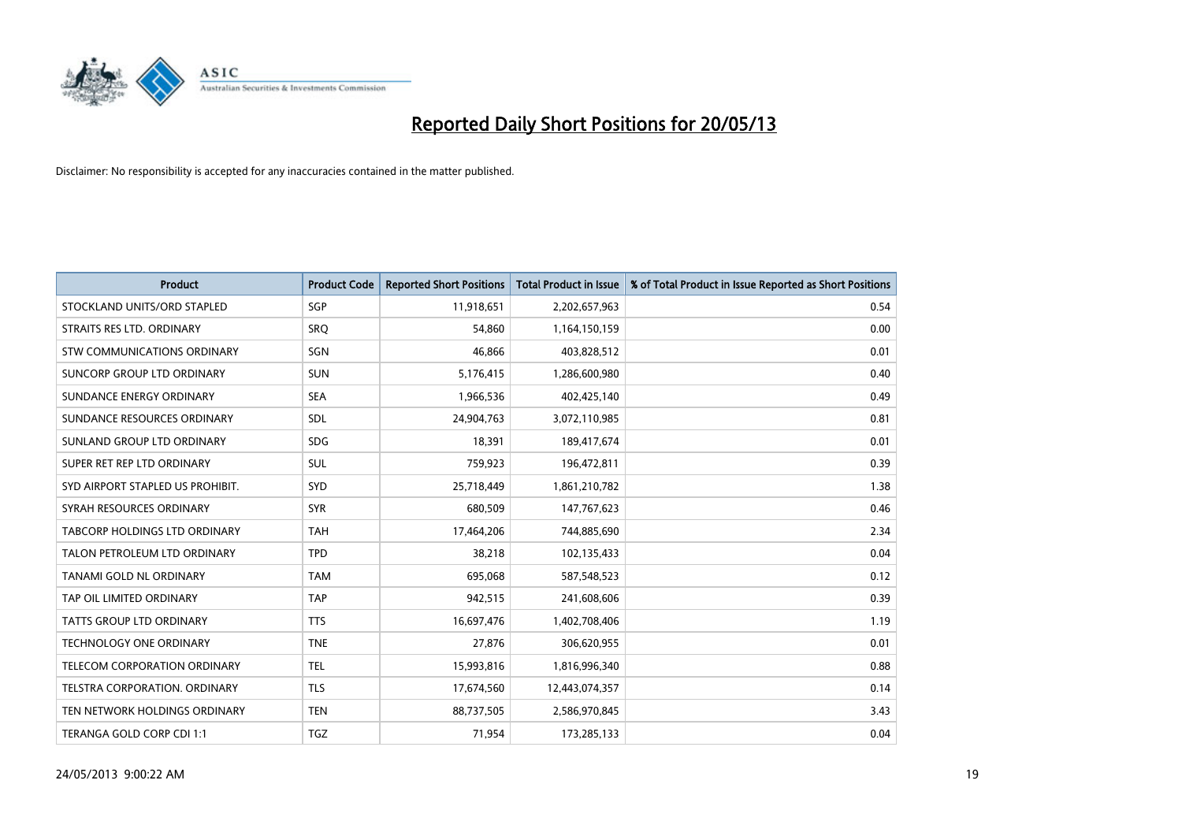

| <b>Product</b>                   | <b>Product Code</b> | <b>Reported Short Positions</b> | <b>Total Product in Issue</b> | % of Total Product in Issue Reported as Short Positions |
|----------------------------------|---------------------|---------------------------------|-------------------------------|---------------------------------------------------------|
| STOCKLAND UNITS/ORD STAPLED      | <b>SGP</b>          | 11,918,651                      | 2,202,657,963                 | 0.54                                                    |
| STRAITS RES LTD. ORDINARY        | SRO                 | 54,860                          | 1,164,150,159                 | 0.00                                                    |
| STW COMMUNICATIONS ORDINARY      | SGN                 | 46.866                          | 403,828,512                   | 0.01                                                    |
| SUNCORP GROUP LTD ORDINARY       | <b>SUN</b>          | 5,176,415                       | 1,286,600,980                 | 0.40                                                    |
| SUNDANCE ENERGY ORDINARY         | <b>SEA</b>          | 1,966,536                       | 402,425,140                   | 0.49                                                    |
| SUNDANCE RESOURCES ORDINARY      | SDL                 | 24,904,763                      | 3,072,110,985                 | 0.81                                                    |
| SUNLAND GROUP LTD ORDINARY       | <b>SDG</b>          | 18,391                          | 189,417,674                   | 0.01                                                    |
| SUPER RET REP LTD ORDINARY       | <b>SUL</b>          | 759,923                         | 196,472,811                   | 0.39                                                    |
| SYD AIRPORT STAPLED US PROHIBIT. | <b>SYD</b>          | 25,718,449                      | 1,861,210,782                 | 1.38                                                    |
| SYRAH RESOURCES ORDINARY         | <b>SYR</b>          | 680,509                         | 147,767,623                   | 0.46                                                    |
| TABCORP HOLDINGS LTD ORDINARY    | <b>TAH</b>          | 17,464,206                      | 744,885,690                   | 2.34                                                    |
| TALON PETROLEUM LTD ORDINARY     | <b>TPD</b>          | 38,218                          | 102,135,433                   | 0.04                                                    |
| TANAMI GOLD NL ORDINARY          | <b>TAM</b>          | 695,068                         | 587,548,523                   | 0.12                                                    |
| TAP OIL LIMITED ORDINARY         | <b>TAP</b>          | 942,515                         | 241,608,606                   | 0.39                                                    |
| TATTS GROUP LTD ORDINARY         | <b>TTS</b>          | 16,697,476                      | 1,402,708,406                 | 1.19                                                    |
| <b>TECHNOLOGY ONE ORDINARY</b>   | <b>TNE</b>          | 27,876                          | 306,620,955                   | 0.01                                                    |
| TELECOM CORPORATION ORDINARY     | <b>TEL</b>          | 15,993,816                      | 1,816,996,340                 | 0.88                                                    |
| TELSTRA CORPORATION. ORDINARY    | <b>TLS</b>          | 17,674,560                      | 12,443,074,357                | 0.14                                                    |
| TEN NETWORK HOLDINGS ORDINARY    | <b>TEN</b>          | 88,737,505                      | 2,586,970,845                 | 3.43                                                    |
| TERANGA GOLD CORP CDI 1:1        | <b>TGZ</b>          | 71,954                          | 173,285,133                   | 0.04                                                    |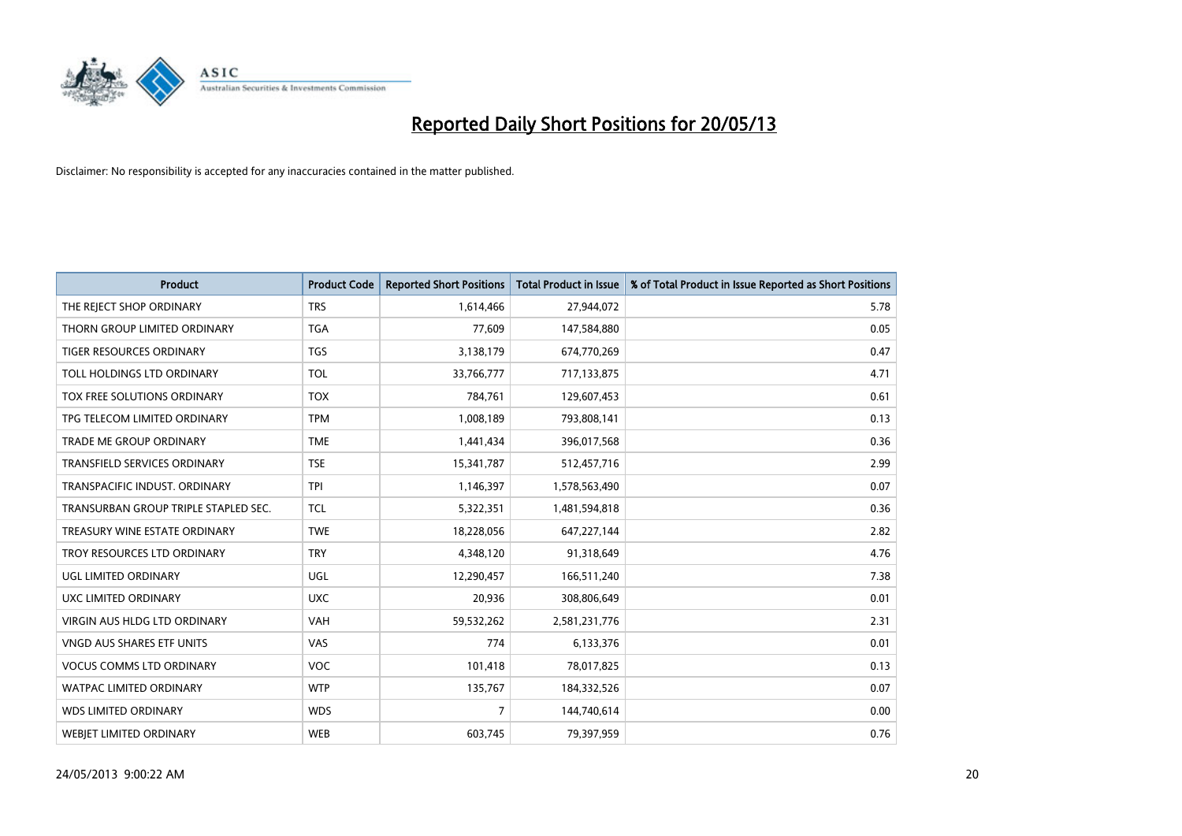

| <b>Product</b>                       | <b>Product Code</b> | <b>Reported Short Positions</b> | <b>Total Product in Issue</b> | % of Total Product in Issue Reported as Short Positions |
|--------------------------------------|---------------------|---------------------------------|-------------------------------|---------------------------------------------------------|
| THE REJECT SHOP ORDINARY             | <b>TRS</b>          | 1,614,466                       | 27,944,072                    | 5.78                                                    |
| THORN GROUP LIMITED ORDINARY         | <b>TGA</b>          | 77,609                          | 147,584,880                   | 0.05                                                    |
| <b>TIGER RESOURCES ORDINARY</b>      | <b>TGS</b>          | 3,138,179                       | 674,770,269                   | 0.47                                                    |
| TOLL HOLDINGS LTD ORDINARY           | <b>TOL</b>          | 33,766,777                      | 717,133,875                   | 4.71                                                    |
| TOX FREE SOLUTIONS ORDINARY          | <b>TOX</b>          | 784,761                         | 129,607,453                   | 0.61                                                    |
| TPG TELECOM LIMITED ORDINARY         | <b>TPM</b>          | 1,008,189                       | 793,808,141                   | 0.13                                                    |
| TRADE ME GROUP ORDINARY              | <b>TME</b>          | 1,441,434                       | 396,017,568                   | 0.36                                                    |
| TRANSFIELD SERVICES ORDINARY         | <b>TSE</b>          | 15,341,787                      | 512,457,716                   | 2.99                                                    |
| TRANSPACIFIC INDUST, ORDINARY        | <b>TPI</b>          | 1,146,397                       | 1,578,563,490                 | 0.07                                                    |
| TRANSURBAN GROUP TRIPLE STAPLED SEC. | <b>TCL</b>          | 5,322,351                       | 1,481,594,818                 | 0.36                                                    |
| TREASURY WINE ESTATE ORDINARY        | <b>TWE</b>          | 18,228,056                      | 647,227,144                   | 2.82                                                    |
| TROY RESOURCES LTD ORDINARY          | <b>TRY</b>          | 4,348,120                       | 91,318,649                    | 4.76                                                    |
| UGL LIMITED ORDINARY                 | UGL                 | 12,290,457                      | 166,511,240                   | 7.38                                                    |
| UXC LIMITED ORDINARY                 | <b>UXC</b>          | 20,936                          | 308,806,649                   | 0.01                                                    |
| <b>VIRGIN AUS HLDG LTD ORDINARY</b>  | <b>VAH</b>          | 59,532,262                      | 2,581,231,776                 | 2.31                                                    |
| VNGD AUS SHARES ETF UNITS            | VAS                 | 774                             | 6,133,376                     | 0.01                                                    |
| <b>VOCUS COMMS LTD ORDINARY</b>      | <b>VOC</b>          | 101,418                         | 78,017,825                    | 0.13                                                    |
| WATPAC LIMITED ORDINARY              | <b>WTP</b>          | 135,767                         | 184,332,526                   | 0.07                                                    |
| <b>WDS LIMITED ORDINARY</b>          | <b>WDS</b>          | $\overline{7}$                  | 144,740,614                   | 0.00                                                    |
| <b>WEBIET LIMITED ORDINARY</b>       | <b>WEB</b>          | 603,745                         | 79,397,959                    | 0.76                                                    |